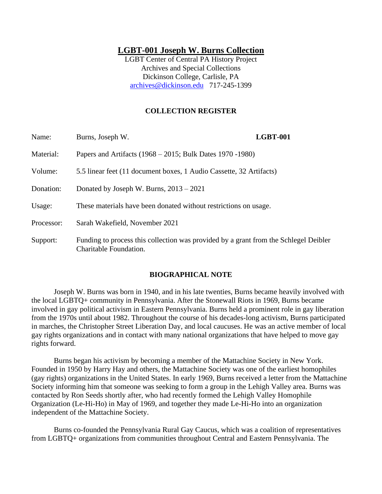# **LGBT-001 Joseph W. Burns Collection**

LGBT Center of Central PA History Project Archives and Special Collections Dickinson College, Carlisle, PA [archives@dickinson.edu](mailto:archives@dickinson.edu) 717-245-1399

## **COLLECTION REGISTER**

| Name:      | Burns, Joseph W.                                                                                               | <b>LGBT-001</b> |
|------------|----------------------------------------------------------------------------------------------------------------|-----------------|
| Material:  | Papers and Artifacts $(1968 - 2015)$ ; Bulk Dates 1970 - 1980)                                                 |                 |
| Volume:    | 5.5 linear feet (11 document boxes, 1 Audio Cassette, 32 Artifacts)                                            |                 |
| Donation:  | Donated by Joseph W. Burns, $2013 - 2021$                                                                      |                 |
| Usage:     | These materials have been donated without restrictions on usage.                                               |                 |
| Processor: | Sarah Wakefield, November 2021                                                                                 |                 |
| Support:   | Funding to process this collection was provided by a grant from the Schlegel Deibler<br>Charitable Foundation. |                 |

## **BIOGRAPHICAL NOTE**

Joseph W. Burns was born in 1940, and in his late twenties, Burns became heavily involved with the local LGBTQ+ community in Pennsylvania. After the Stonewall Riots in 1969, Burns became involved in gay political activism in Eastern Pennsylvania. Burns held a prominent role in gay liberation from the 1970s until about 1982. Throughout the course of his decades-long activism, Burns participated in marches, the Christopher Street Liberation Day, and local caucuses. He was an active member of local gay rights organizations and in contact with many national organizations that have helped to move gay rights forward.

Burns began his activism by becoming a member of the Mattachine Society in New York. Founded in 1950 by Harry Hay and others, the Mattachine Society was one of the earliest homophiles (gay rights) organizations in the United States. In early 1969, Burns received a letter from the Mattachine Society informing him that someone was seeking to form a group in the Lehigh Valley area. Burns was contacted by Ron Seeds shortly after, who had recently formed the Lehigh Valley Homophile Organization (Le-Hi-Ho) in May of 1969, and together they made Le-Hi-Ho into an organization independent of the Mattachine Society.

Burns co-founded the Pennsylvania Rural Gay Caucus, which was a coalition of representatives from LGBTQ+ organizations from communities throughout Central and Eastern Pennsylvania. The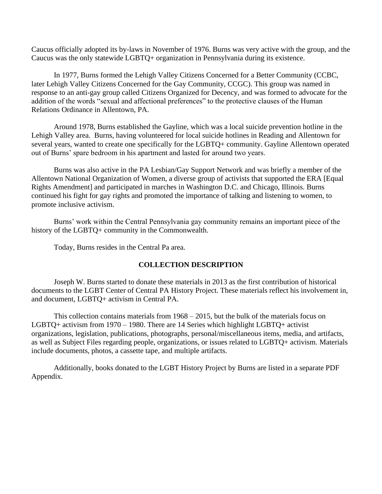Caucus officially adopted its by-laws in November of 1976. Burns was very active with the group, and the Caucus was the only statewide LGBTQ+ organization in Pennsylvania during its existence.

In 1977, Burns formed the Lehigh Valley Citizens Concerned for a Better Community (CCBC, later Lehigh Valley Citizens Concerned for the Gay Community, CCGC). This group was named in response to an anti-gay group called Citizens Organized for Decency, and was formed to advocate for the addition of the words "sexual and affectional preferences" to the protective clauses of the Human Relations Ordinance in Allentown, PA.

Around 1978, Burns established the Gayline, which was a local suicide prevention hotline in the Lehigh Valley area. Burns, having volunteered for local suicide hotlines in Reading and Allentown for several years, wanted to create one specifically for the LGBTQ+ community. Gayline Allentown operated out of Burns' spare bedroom in his apartment and lasted for around two years.

Burns was also active in the PA Lesbian/Gay Support Network and was briefly a member of the Allentown National Organization of Women, a diverse group of activists that supported the ERA [Equal Rights Amendment] and participated in marches in Washington D.C. and Chicago, Illinois. Burns continued his fight for gay rights and promoted the importance of talking and listening to women, to promote inclusive activism.

Burns' work within the Central Pennsylvania gay community remains an important piece of the history of the LGBTQ+ community in the Commonwealth.

Today, Burns resides in the Central Pa area.

## **COLLECTION DESCRIPTION**

Joseph W. Burns started to donate these materials in 2013 as the first contribution of historical documents to the LGBT Center of Central PA History Project. These materials reflect his involvement in, and document, LGBTQ+ activism in Central PA.

This collection contains materials from 1968 – 2015, but the bulk of the materials focus on LGBTQ+ activism from 1970 – 1980. There are 14 Series which highlight LGBTQ+ activist organizations, legislation, publications, photographs, personal/miscellaneous items, media, and artifacts, as well as Subject Files regarding people, organizations, or issues related to LGBTQ+ activism. Materials include documents, photos, a cassette tape, and multiple artifacts.

Additionally, books donated to the LGBT History Project by Burns are listed in a separate PDF Appendix.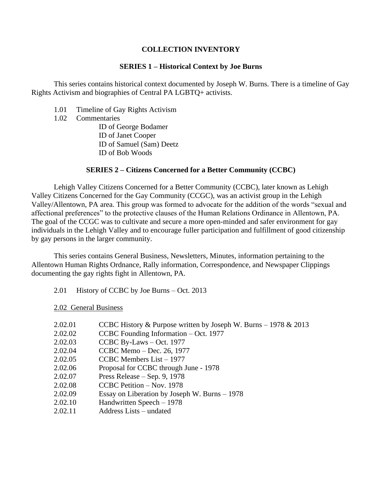## **COLLECTION INVENTORY**

### **SERIES 1 – Historical Context by Joe Burns**

This series contains historical context documented by Joseph W. Burns. There is a timeline of Gay Rights Activism and biographies of Central PA LGBTQ+ activists.

- 1.01 Timeline of Gay Rights Activism
- 1.02 Commentaries

ID of George Bodamer ID of Janet Cooper ID of Samuel (Sam) Deetz ID of Bob Woods

## **SERIES 2 – Citizens Concerned for a Better Community (CCBC)**

Lehigh Valley Citizens Concerned for a Better Community (CCBC), later known as Lehigh Valley Citizens Concerned for the Gay Community (CCGC), was an activist group in the Lehigh Valley/Allentown, PA area. This group was formed to advocate for the addition of the words "sexual and affectional preferences" to the protective clauses of the Human Relations Ordinance in Allentown, PA. The goal of the CCGC was to cultivate and secure a more open-minded and safer environment for gay individuals in the Lehigh Valley and to encourage fuller participation and fulfillment of good citizenship by gay persons in the larger community.

This series contains General Business, Newsletters, Minutes, information pertaining to the Allentown Human Rights Ordnance, Rally information, Correspondence, and Newspaper Clippings documenting the gay rights fight in Allentown, PA.

2.01 History of CCBC by Joe Burns – Oct. 2013

2.02 General Business

- 2.02.01 CCBC History & Purpose written by Joseph W. Burns 1978 & 2013
- 2.02.02 CCBC Founding Information Oct. 1977
- 2.02.03 CCBC By-Laws Oct. 1977
- 2.02.04 CCBC Memo Dec. 26, 1977
- 2.02.05 CCBC Members List 1977
- 2.02.06 Proposal for CCBC through June 1978
- 2.02.07 Press Release Sep. 9, 1978
- 2.02.08 CCBC Petition Nov. 1978
- 2.02.09 Essay on Liberation by Joseph W. Burns 1978
- 2.02.10 Handwritten Speech 1978
- 2.02.11 Address Lists undated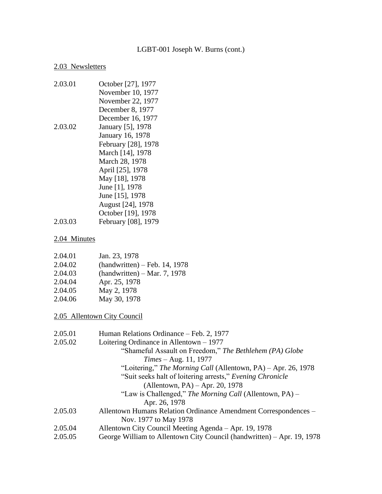#### 2.03 Newsletters

2.03.01 October [27], 1977 November 10, 1977 November 22, 1977 December 8, 1977 December 16, 1977 2.03.02 January [5], 1978 January 16, 1978 February [28], 1978 March [14], 1978 March 28, 1978 April [25], 1978 May [18], 1978 June [1], 1978 June [15], 1978 August [24], 1978 October [19], 1978 2.03.03 February [08], 1979

### 2.04 Minutes

| 2.04.01 | Jan. 23, 1978                   |
|---------|---------------------------------|
| 2.04.02 | $(handwritten) - Feb. 14, 1978$ |
| 2.04.03 | $(handwritten) - Mar. 7, 1978$  |
| 2.04.04 | Apr. 25, 1978                   |
| 2.04.05 | May 2, 1978                     |
| 2.04.06 | May 30, 1978                    |

2.05 Allentown City Council

| 2.05.01 | Human Relations Ordinance – Feb. 2, 1977                               |
|---------|------------------------------------------------------------------------|
| 2.05.02 | Loitering Ordinance in Allentown $-1977$                               |
|         | "Shameful Assault on Freedom," The Bethlehem (PA) Globe                |
|         | $Times - Aug. 11, 1977$                                                |
|         | "Loitering," The Morning Call (Allentown, PA) – Apr. 26, 1978          |
|         | "Suit seeks halt of loitering arrests," Evening Chronicle              |
|         | (Allentown, PA) $-$ Apr. 20, 1978                                      |
|         | "Law is Challenged," The Morning Call (Allentown, PA) –                |
|         | Apr. 26, 1978                                                          |
| 2.05.03 | Allentown Humans Relation Ordinance Amendment Correspondences –        |
|         | Nov. 1977 to May 1978                                                  |
| 2.05.04 | Allentown City Council Meeting Agenda – Apr. 19, 1978                  |
| 2.05.05 | George William to Allentown City Council (handwritten) – Apr. 19, 1978 |
|         |                                                                        |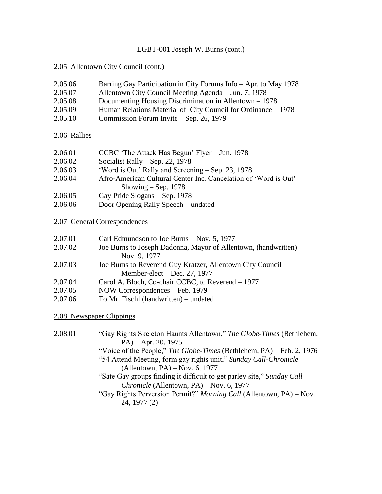## 2.05 Allentown City Council (cont.)

| 2.05.06 | Barring Gay Participation in City Forums Info – Apr. to May 1978 |
|---------|------------------------------------------------------------------|
| 2.05.07 | Allentown City Council Meeting Agenda – Jun. 7, 1978             |

- 2.05.08 Documenting Housing Discrimination in Allentown 1978
- 2.05.09 Human Relations Material of City Council for Ordinance 1978
- 2.05.10 Commission Forum Invite Sep. 26, 1979

# 2.06 Rallies

| 2.06.01 | CCBC 'The Attack Has Begun' Flyer – Jun. 1978     |
|---------|---------------------------------------------------|
| 2.06.02 | Socialist Rally – Sep. 22, 1978                   |
| 2.06.03 | 'Word is Out' Rally and Screening – Sep. 23, 1978 |
|         |                                                   |

- 2.06.04 Afro-American Cultural Center Inc. Cancelation of 'Word is Out' Showing – Sep. 1978
- 2.06.05 Gay Pride Slogans Sep. 1978
- 2.06.06 Door Opening Rally Speech undated

# 2.07 General Correspondences

| 2.07.01 | Carl Edmundson to Joe Burns – Nov. 5, 1977 |  |
|---------|--------------------------------------------|--|
|         |                                            |  |

- 2.07.02 Joe Burns to Joseph Dadonna, Mayor of Allentown, (handwritten) Nov. 9, 1977
- 2.07.03 Joe Burns to Reverend Guy Kratzer, Allentown City Council Member-elect – Dec. 27, 1977
- 2.07.04 Carol A. Bloch, Co-chair CCBC, to Reverend 1977
- 2.07.05 NOW Correspondences Feb. 1979
- 2.07.06 To Mr. Fischl (handwritten) undated

# 2.08 Newspaper Clippings

2.08.01 "Gay Rights Skeleton Haunts Allentown," *The Globe-Times* (Bethlehem, PA) – Apr. 20. 1975 "Voice of the People," *The Globe-Times* (Bethlehem, PA) – Feb. 2, 1976 "54 Attend Meeting, form gay rights unit," *Sunday Call-Chronicle* (Allentown, PA) – Nov. 6, 1977 "Sate Gay groups finding it difficult to get parley site," *Sunday Call Chronicle* (Allentown, PA) – Nov. 6, 1977 "Gay Rights Perversion Permit?" *Morning Call* (Allentown, PA) – Nov. 24, 1977 (2)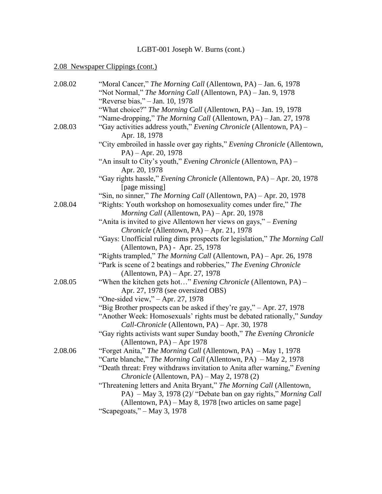# 2.08 Newspaper Clippings (cont.)

| 2.08.02 | "Moral Cancer," The Morning Call (Allentown, PA) – Jan. 6, 1978<br>"Not Normal," The Morning Call (Allentown, PA) - Jan. 9, 1978 |
|---------|----------------------------------------------------------------------------------------------------------------------------------|
|         | "Reverse bias," - Jan. 10, 1978                                                                                                  |
|         |                                                                                                                                  |
|         | "What choice?" The Morning Call (Allentown, PA) – Jan. 19, 1978                                                                  |
|         | "Name-dropping," The Morning Call (Allentown, PA) – Jan. 27, 1978                                                                |
| 2.08.03 | "Gay activities address youth," Evening Chronicle (Allentown, PA) –<br>Apr. 18, 1978                                             |
|         | "City embroiled in hassle over gay rights," Evening Chronicle (Allentown,                                                        |
|         | $PA$ ) – Apr. 20, 1978                                                                                                           |
|         | "An insult to City's youth," Evening Chronicle (Allentown, PA) –<br>Apr. 20, 1978                                                |
|         | "Gay rights hassle," Evening Chronicle (Allentown, PA) - Apr. 20, 1978                                                           |
|         | [page missing]                                                                                                                   |
|         | "Sin, no sinner," The Morning Call (Allentown, PA) – Apr. 20, 1978                                                               |
| 2.08.04 | "Rights: Youth workshop on homosexuality comes under fire," The                                                                  |
|         | Morning Call (Allentown, PA) - Apr. 20, 1978                                                                                     |
|         | "Anita is invited to give Allentown her views on gays," – Evening                                                                |
|         | Chronicle (Allentown, PA) - Apr. 21, 1978                                                                                        |
|         | "Gays: Unofficial ruling dims prospects for legislation," The Morning Call                                                       |
|         | (Allentown, PA) - Apr. 25, 1978                                                                                                  |
|         | "Rights trampled," The Morning Call (Allentown, PA) – Apr. 26, 1978                                                              |
|         | "Park is scene of 2 beatings and robberies," The Evening Chronicle                                                               |
|         | (Allentown, PA) $-$ Apr. 27, 1978                                                                                                |
| 2.08.05 | "When the kitchen gets hot" Evening Chronicle (Allentown, PA) –                                                                  |
|         | Apr. 27, 1978 (see oversized OBS)                                                                                                |
|         | "One-sided view," $-$ Apr. 27, 1978                                                                                              |
|         | "Big Brother prospects can be asked if they're gay," – Apr. 27, 1978                                                             |
|         | "Another Week: Homosexuals' rights must be debated rationally," Sunday                                                           |
|         | Call-Chronicle (Allentown, PA) - Apr. 30, 1978                                                                                   |
|         | "Gay rights activists want super Sunday booth," The Evening Chronicle                                                            |
|         | (Allentown, PA) - Apr 1978                                                                                                       |
| 2.08.06 | "Forget Anita," The Morning Call (Allentown, PA) – May 1, 1978                                                                   |
|         | "Carte blanche," The Morning Call (Allentown, PA) – May 2, 1978                                                                  |
|         | "Death threat: Frey withdraws invitation to Anita after warning," Evening                                                        |
|         | Chronicle (Allentown, PA) – May 2, 1978 (2)                                                                                      |
|         | "Threatening letters and Anita Bryant," The Morning Call (Allentown,                                                             |
|         | PA) – May 3, 1978 (2)/ "Debate ban on gay rights," Morning Call                                                                  |
|         | (Allentown, PA) – May 8, 1978 [two articles on same page]                                                                        |
|         | "Scapegoats," $-May$ 3, 1978                                                                                                     |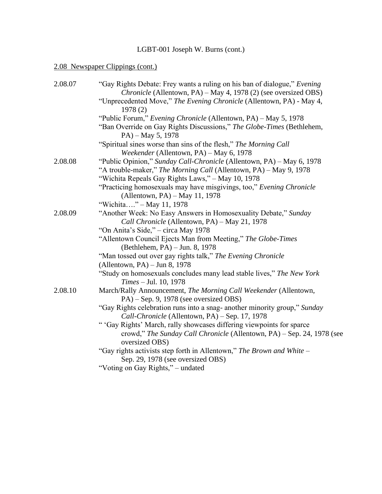# 2.08 Newspaper Clippings (cont.)

| 2.08.07 | "Gay Rights Debate: Frey wants a ruling on his ban of dialogue," Evening<br>Chronicle (Allentown, PA) – May 4, 1978 (2) (see oversized OBS)                       |
|---------|-------------------------------------------------------------------------------------------------------------------------------------------------------------------|
|         | "Unprecedented Move," The Evening Chronicle (Allentown, PA) - May 4,<br>1978(2)                                                                                   |
|         | "Public Forum," Evening Chronicle (Allentown, PA) – May 5, 1978                                                                                                   |
|         | "Ban Override on Gay Rights Discussions," The Globe-Times (Bethlehem,<br>$PA$ ) – May 5, 1978                                                                     |
|         | "Spiritual sines worse than sins of the flesh," The Morning Call<br>Weekender (Allentown, PA) - May 6, 1978                                                       |
| 2.08.08 | "Public Opinion," Sunday Call-Chronicle (Allentown, PA) – May 6, 1978                                                                                             |
|         | "A trouble-maker," The Morning Call (Allentown, PA) – May 9, 1978                                                                                                 |
|         | "Wichita Repeals Gay Rights Laws," - May 10, 1978                                                                                                                 |
|         | "Practicing homosexuals may have misgivings, too," Evening Chronicle<br>(Allentown, PA) – May 11, 1978                                                            |
|         | "Wichita" – May 11, 1978                                                                                                                                          |
| 2.08.09 | "Another Week: No Easy Answers in Homosexuality Debate," Sunday<br>Call Chronicle (Allentown, PA) - May 21, 1978                                                  |
|         | "On Anita's Side," - circa May 1978                                                                                                                               |
|         | "Allentown Council Ejects Man from Meeting," The Globe-Times                                                                                                      |
|         | (Bethlehem, PA) – Jun. 8, 1978                                                                                                                                    |
|         | "Man tossed out over gay rights talk," The Evening Chronicle                                                                                                      |
|         | (Allentown, PA) $-$ Jun 8, 1978                                                                                                                                   |
|         | "Study on homosexuals concludes many lead stable lives," The New York<br>Times - Jul. 10, 1978                                                                    |
| 2.08.10 | March/Rally Announcement, The Morning Call Weekender (Allentown,<br>$PA$ ) – Sep. 9, 1978 (see oversized OBS)                                                     |
|         | "Gay Rights celebration runs into a snag- another minority group," Sunday<br>Call-Chronicle (Allentown, PA) - Sep. 17, 1978                                       |
|         | " 'Gay Rights' March, rally showcases differing viewpoints for sparce<br>crowd," The Sunday Call Chronicle (Allentown, PA) - Sep. 24, 1978 (see<br>oversized OBS) |
|         | "Gay rights activists step forth in Allentown," The Brown and White –<br>Sep. 29, 1978 (see oversized OBS)                                                        |
|         | "Voting on Gay Rights," – undated                                                                                                                                 |
|         |                                                                                                                                                                   |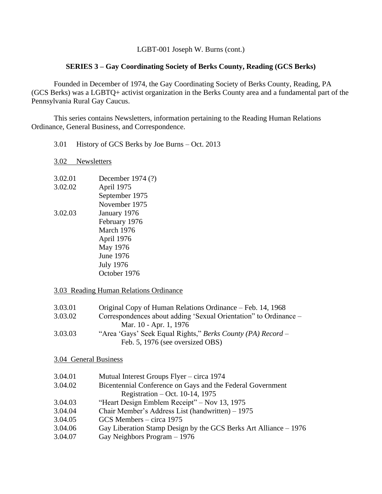## **SERIES 3 – Gay Coordinating Society of Berks County, Reading (GCS Berks)**

Founded in December of 1974, the Gay Coordinating Society of Berks County, Reading, PA (GCS Berks) was a LGBTQ+ activist organization in the Berks County area and a fundamental part of the Pennsylvania Rural Gay Caucus.

This series contains Newsletters, information pertaining to the Reading Human Relations Ordinance, General Business, and Correspondence.

3.01 History of GCS Berks by Joe Burns – Oct. 2013

3.02 Newsletters

3.02.01 December 1974 (?) 3.02.02 April 1975 September 1975 November 1975 3.02.03 January 1976 February 1976 March 1976 April 1976 May 1976 June 1976 July 1976 October 1976

#### 3.03 Reading Human Relations Ordinance

| 3.03.01 | Original Copy of Human Relations Ordinance – Feb. 14, 1968       |
|---------|------------------------------------------------------------------|
| 3.03.02 | Correspondences about adding 'Sexual Orientation' to Ordinance – |
|         | Mar. 10 - Apr. 1, 1976                                           |
| 3.03.03 | "Area 'Gays' Seek Equal Rights," Berks County (PA) Record –      |
|         | Feb. 5, 1976 (see oversized OBS)                                 |

#### 3.04 General Business

| 3.04.01 | Mutual Interest Groups Flyer – circa 1974                        |
|---------|------------------------------------------------------------------|
| 3.04.02 | Bicentennial Conference on Gays and the Federal Government       |
|         | Registration – Oct. 10-14, 1975                                  |
| 3.04.03 | "Heart Design Emblem Receipt" – Nov 13, 1975                     |
| 3.04.04 | Chair Member's Address List (handwritten) – 1975                 |
| 3.04.05 | GCS Members – circa 1975                                         |
| 3.04.06 | Gay Liberation Stamp Design by the GCS Berks Art Alliance – 1976 |
| 3.04.07 | Gay Neighbors Program $-1976$                                    |
|         |                                                                  |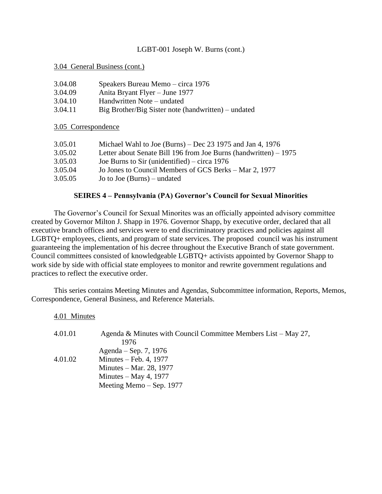3.04 General Business (cont.)

| 3.04.09<br>Anita Bryant Flyer – June 1977                      |  |
|----------------------------------------------------------------|--|
|                                                                |  |
| 3.04.10<br>Handwritten Note – undated                          |  |
| 3.04.11<br>Big Brother/Big Sister note (handwritten) – undated |  |

3.05 Correspondence

| 3.05.01 | Michael Wahl to Joe (Burns) – Dec $23$ 1975 and Jan 4, 1976       |
|---------|-------------------------------------------------------------------|
| 3.05.02 | Letter about Senate Bill 196 from Joe Burns (handwritten) $-1975$ |
| 3.05.03 | Joe Burns to Sir (unidentified) – circa $1976$                    |
| 3.05.04 | Jo Jones to Council Members of GCS Berks – Mar 2, 1977            |
| 3.05.05 | Jo to Joe $(Burns)$ – undated                                     |

## **SEIRES 4 – Pennsylvania (PA) Governor's Council for Sexual Minorities**

The Governor's Council for Sexual Minorites was an officially appointed advisory committee created by Governor Milton J. Shapp in 1976. Governor Shapp, by executive order, declared that all executive branch offices and services were to end discriminatory practices and policies against all LGBTQ+ employees, clients, and program of state services. The proposed council was his instrument guaranteeing the implementation of his decree throughout the Executive Branch of state government. Council committees consisted of knowledgeable LGBTQ+ activists appointed by Governor Shapp to work side by side with official state employees to monitor and rewrite government regulations and practices to reflect the executive order.

This series contains Meeting Minutes and Agendas, Subcommittee information, Reports, Memos, Correspondence, General Business, and Reference Materials.

4.01 Minutes

| 4.01.01 | Agenda & Minutes with Council Committee Members List – May 27, |
|---------|----------------------------------------------------------------|
|         | 1976                                                           |
|         | Agenda – Sep. 7, 1976                                          |
| 4.01.02 | Minutes – Feb. 4, $1977$                                       |
|         | Minutes – Mar. 28, 1977                                        |
|         | Minutes $-$ May 4, 1977                                        |
|         | Meeting Memo $-$ Sep. 1977                                     |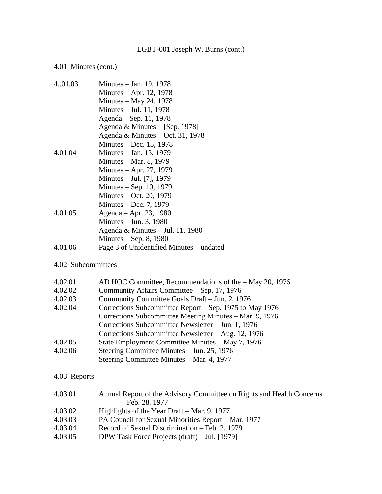# 4.01 Minutes (cont.)

| 4.01.03 | Minutes – Jan. 19, 1978                  |
|---------|------------------------------------------|
|         | Minutes $-$ Apr. 12, 1978                |
|         | Minutes $-$ May 24, 1978                 |
|         | Minutes $-$ Jul. 11, 1978                |
|         | Agenda – Sep. 11, 1978                   |
|         | Agenda & Minutes $-[Sep. 1978]$          |
|         | Agenda & Minutes – Oct. 31, 1978         |
|         | Minutes $-$ Dec. 15, 1978                |
| 4.01.04 | Minutes – Jan. 13, 1979                  |
|         | Minutes – Mar. 8, 1979                   |
|         | Minutes $-$ Apr. 27, 1979                |
|         | Minutes – Jul. [7], 1979                 |
|         | Minutes $-$ Sep. 10, 1979                |
|         | Minutes $-$ Oct. 20, 1979                |
|         | Minutes $-$ Dec. 7, 1979                 |
| 4.01.05 | Agenda – Apr. 23, 1980                   |
|         | Minutes $-$ Jun. 3, 1980                 |
|         | Agenda & Minutes $-$ Jul. 11, 1980       |
|         | Minutes $-$ Sep. 8, 1980                 |
| 4.01.06 | Page 3 of Unidentified Minutes – undated |
|         |                                          |

# 4.02 Subcommittees

| 4.02.01 | AD HOC Committee, Recommendations of the - May 20, 1976 |
|---------|---------------------------------------------------------|
| 4.02.02 | Community Affairs Committee – Sep. 17, 1976             |
| 4.02.03 | Community Committee Goals Draft - Jun. 2, 1976          |
| 4.02.04 | Corrections Subcommittee Report – Sep. 1975 to May 1976 |
|         | Corrections Subcommittee Meeting Minutes - Mar. 9, 1976 |
|         | Corrections Subcommittee Newsletter – Jun. 1, 1976      |
|         | Corrections Subcommittee Newsletter $-$ Aug. 12, 1976   |
| 4.02.05 | State Employment Committee Minutes – May 7, 1976        |
| 4.02.06 | Steering Committee Minutes – Jun. 25, 1976              |
|         | Steering Committee Minutes – Mar. 4, 1977               |

# 4.03 Reports

| 4.03.01 | Annual Report of the Advisory Committee on Rights and Health Concerns |
|---------|-----------------------------------------------------------------------|
|         | $-$ Feb. 28, 1977                                                     |
| 4.03.02 | Highlights of the Year Draft $-$ Mar. 9, 1977                         |
| 4.03.03 | PA Council for Sexual Minorities Report – Mar. 1977                   |
| 4.03.04 | Record of Sexual Discrimination – Feb. 2, 1979                        |
| 4.03.05 | DPW Task Force Projects (draft) – Jul. [1979]                         |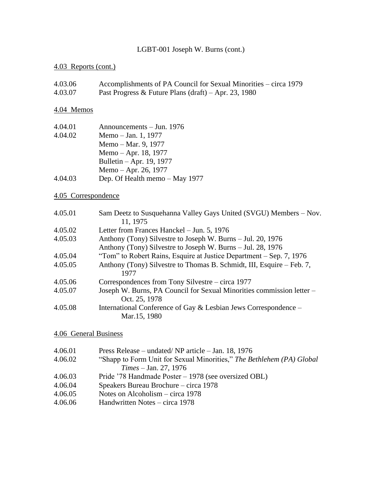# 4.03 Reports (cont.)

| 4.03.06 | Accomplishments of PA Council for Sexual Minorities – circa 1979 |
|---------|------------------------------------------------------------------|
| 4.03.07 | Past Progress & Future Plans $(draft) - Apr. 23, 1980$           |

# 4.04 Memos

| 4.04.01 | Announcements – Jun. 1976      |
|---------|--------------------------------|
| 4.04.02 | Memo – Jan. 1, 1977            |
|         | Memo – Mar. 9, 1977            |
|         | Memo – Apr. 18, 1977           |
|         | Bulletin – Apr. 19, 1977       |
|         | Memo – Apr. 26, 1977           |
| 4.04.03 | Dep. Of Health memo - May 1977 |

# 4.05 Correspondence

| 4.05.01 | Sam Deetz to Susquehanna Valley Gays United (SVGU) Members - Nov.     |
|---------|-----------------------------------------------------------------------|
|         | 11, 1975                                                              |
| 4.05.02 | Letter from Frances Hanckel - Jun. 5, 1976                            |
| 4.05.03 | Anthony (Tony) Silvestre to Joseph W. Burns – Jul. 20, 1976           |
|         | Anthony (Tony) Silvestre to Joseph W. Burns – Jul. 28, 1976           |
| 4.05.04 | "Tom" to Robert Rains, Esquire at Justice Department – Sep. 7, 1976   |
| 4.05.05 | Anthony (Tony) Silvestre to Thomas B. Schmidt, III, Esquire – Feb. 7, |
|         | 1977                                                                  |
| 4.05.06 | Correspondences from Tony Silvestre – circa 1977                      |
| 4.05.07 | Joseph W. Burns, PA Council for Sexual Minorities commission letter – |
|         | Oct. 25, 1978                                                         |
| 4.05.08 | International Conference of Gay & Lesbian Jews Correspondence –       |
|         | Mar.15, 1980                                                          |

# 4.06 General Business

| 4.06.01 | Press Release – undated/NP article – Jan. 18, 1976                    |
|---------|-----------------------------------------------------------------------|
| 4.06.02 | "Shapp to Form Unit for Sexual Minorities," The Bethlehem (PA) Global |
|         | $Times - Jan. 27, 1976$                                               |
| 4.06.03 | Pride '78 Handmade Poster – 1978 (see oversized OBL)                  |
| 4.06.04 | Speakers Bureau Brochure – circa 1978                                 |
| 4.06.05 | Notes on Alcoholism – circa $1978$                                    |
| 4.06.06 | Handwritten Notes – circa 1978                                        |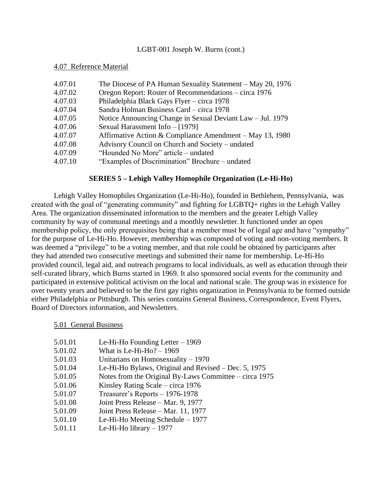#### 4.07 Reference Material

| 4.07.01 | The Diocese of PA Human Sexuality Statement – May 20, 1976 |
|---------|------------------------------------------------------------|
| 4.07.02 | Oregon Report: Roster of Recommendations – circa 1976      |
| 4.07.03 | Philadelphia Black Gays Flyer - circa 1978                 |
| 4.07.04 | Sandra Holman Business Card – circa 1978                   |
| 4.07.05 | Notice Announcing Change in Sexual Deviant Law – Jul. 1979 |
| 4.07.06 | Sexual Harassment Info - [1979]                            |
| 4.07.07 | Affirmative Action & Compliance Amendment – May 13, 1980   |
| 4.07.08 | Advisory Council on Church and Society – undated           |
| 4.07.09 | "Hounded No More" article – undated                        |
| 4.07.10 | "Examples of Discrimination" Brochure – undated            |

#### **SERIES 5 – Lehigh Valley Homophile Organization (Le-Hi-Ho)**

Lehigh Valley Homophiles Organization (Le-Hi-Ho), founded in Bethlehem, Pennsylvania, was created with the goal of "generating community" and fighting for LGBTQ+ rights in the Lehigh Valley Area. The organization disseminated information to the members and the greater Lehigh Valley community by way of communal meetings and a monthly newsletter. It functioned under an open membership policy, the only prerequisites being that a member must be of legal age and have "sympathy" for the purpose of Le-Hi-Ho. However, membership was composed of voting and non-voting members. It was deemed a "privilege" to be a voting member, and that role could be obtained by participants after they had attended two consecutive meetings and submitted their name for membership. Le-Hi-Ho provided council, legal aid, and outreach programs to local individuals, as well as education through their self-curated library, which Burns started in 1969. It also sponsored social events for the community and participated in extensive political activism on the local and national scale. The group was in existence for over twenty years and believed to be the first gay rights organization in Pennsylvania to be formed outside either Philadelphia or Pittsburgh. This series contains General Business, Correspondence, Event Flyers, Board of Directors information, and Newsletters.

#### 5.01 General Business

| 5.01.01 | Le-Hi-Ho Founding Letter $-1969$ |  |
|---------|----------------------------------|--|
|---------|----------------------------------|--|

- 5.01.02 What is Le-Hi-Ho? 1969
- 5.01.03 Unitarians on Homosexuality 1970
- 5.01.04 Le-Hi-Ho Bylaws, Original and Revised Dec. 5, 1975
- 5.01.05 Notes from the Original By-Laws Committee circa 1975
- 5.01.06 Kinsley Rating Scale circa 1976
- 5.01.07 Treasurer's Reports 1976-1978
- 5.01.08 Joint Press Release Mar. 9, 1977
- 5.01.09 Joint Press Release Mar. 11, 1977
- 5.01.10 Le-Hi-Ho Meeting Schedule 1977
- 5.01.11 Le-Hi-Ho library 1977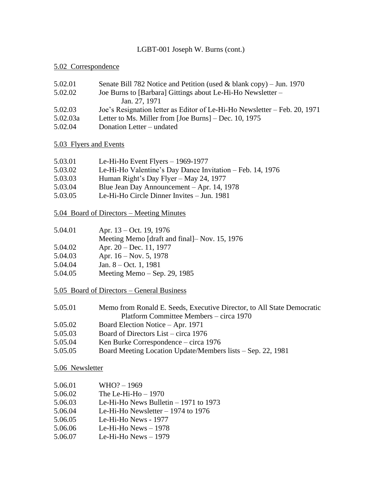# 5.02 Correspondence

| 5.02.01  | Senate Bill 782 Notice and Petition (used & blank copy) – Jun. 1970       |
|----------|---------------------------------------------------------------------------|
| 5.02.02  | Joe Burns to [Barbara] Gittings about Le-Hi-Ho Newsletter –               |
|          | Jan. 27, 1971                                                             |
| 5.02.03  | Joe's Resignation letter as Editor of Le-Hi-Ho Newsletter – Feb. 20, 1971 |
| 5.02.03a | Letter to Ms. Miller from [Joe Burns] – Dec. 10, 1975                     |
| 5.02.04  | Donation Letter – undated                                                 |

# 5.03 Flyers and Events

| 5.03.01 | Le-Hi-Ho Event Flyers $-$ 1969-1977                       |
|---------|-----------------------------------------------------------|
| 5.03.02 | Le-Hi-Ho Valentine's Day Dance Invitation – Feb. 14, 1976 |
| 5.03.03 | Human Right's Day Flyer – May 24, 1977                    |
| 5.03.04 | Blue Jean Day Announcement – Apr. 14, 1978                |
| 5.03.05 | Le-Hi-Ho Circle Dinner Invites - Jun. 1981                |
|         |                                                           |

5.04 Board of Directors – Meeting Minutes

| 5.04.01 | Apr. $13 - Oct.$ 19, 1976                     |
|---------|-----------------------------------------------|
|         | Meeting Memo [draft and final]– Nov. 15, 1976 |
| 5.04.02 | Apr. 20 – Dec. 11, 1977                       |
| 5.04.03 | Apr. $16 - Nov. 5, 1978$                      |
| 5.04.04 | Jan. $8 - Oct. 1, 1981$                       |

5.04.05 Meeting Memo – Sep. 29, 1985

5.05 Board of Directors – General Business

| 5.05.01 | Memo from Ronald E. Seeds, Executive Director, to All State Democratic |
|---------|------------------------------------------------------------------------|
|         | Platform Committee Members – circa 1970                                |
| 5.05.02 | Board Election Notice – Apr. 1971                                      |
| 5.05.03 | Board of Directors List – circa 1976                                   |
| 5.05.04 | Ken Burke Correspondence – circa 1976                                  |
| 5.05.05 | Board Meeting Location Update/Members lists – Sep. 22, 1981            |

# 5.06 Newsletter

| 5.06.01 | $WHO? - 1969$                          |
|---------|----------------------------------------|
| 5.06.02 | The Le-Hi-Ho $-1970$                   |
| 5.06.03 | Le-Hi-Ho News Bulletin $-1971$ to 1973 |
| 5.06.04 | Le-Hi-Ho Newsletter $-1974$ to 1976    |
| 5.06.05 | Le-Hi-Ho News - 1977                   |
| 5.06.06 | Le-Hi-Ho News $-1978$                  |
| 5.06.07 | Le-Hi-Ho News $-1979$                  |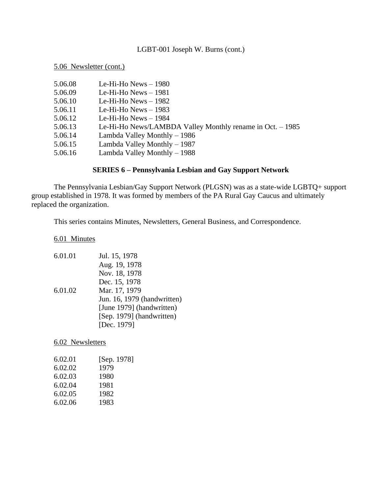5.06 Newsletter (cont.)

| 5.06.08 | Le-Hi-Ho News $-1980$                                      |
|---------|------------------------------------------------------------|
| 5.06.09 | Le-Hi-Ho News $-1981$                                      |
| 5.06.10 | Le-Hi-Ho News $-1982$                                      |
| 5.06.11 | Le-Hi-Ho News $-1983$                                      |
| 5.06.12 | Le-Hi-Ho News $-$ 1984                                     |
| 5.06.13 | Le-Hi-Ho News/LAMBDA Valley Monthly rename in Oct. $-1985$ |
| 5.06.14 | Lambda Valley Monthly - 1986                               |
| 5.06.15 | Lambda Valley Monthly - 1987                               |
| 5.06.16 | Lambda Valley Monthly - 1988                               |
|         |                                                            |

# **SERIES 6 – Pennsylvania Lesbian and Gay Support Network**

The Pennsylvania Lesbian/Gay Support Network (PLGSN) was as a state-wide LGBTQ+ support group established in 1978. It was formed by members of the PA Rural Gay Caucus and ultimately replaced the organization.

This series contains Minutes, Newsletters, General Business, and Correspondence.

6.01 Minutes

| 6.01.01 | Jul. 15, 1978               |
|---------|-----------------------------|
|         | Aug. 19, 1978               |
|         | Nov. 18, 1978               |
|         | Dec. 15, 1978               |
| 6.01.02 | Mar. 17, 1979               |
|         | Jun. 16, 1979 (handwritten) |
|         | [June 1979] (handwritten)   |
|         | [Sep. 1979] (handwritten)   |
|         | [Dec. 1979]                 |

6.02 Newsletters

| 6.02.01 | [Sep. 1978] |
|---------|-------------|
| 6.02.02 | 1979        |
| 6.02.03 | 1980        |
| 6.02.04 | 1981        |
| 6.02.05 | 1982        |
| 6.02.06 | 1983        |
|         |             |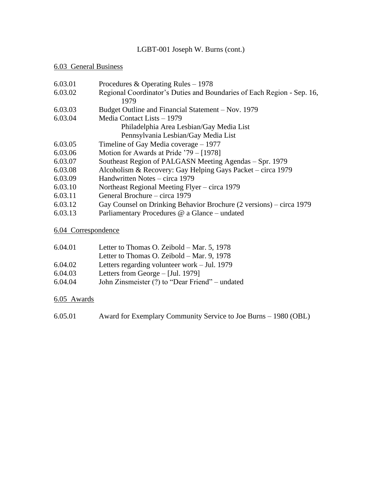# 6.03 General Business

| 6.03.01 | Procedures & Operating Rules $-1978$                                   |  |
|---------|------------------------------------------------------------------------|--|
| 6.03.02 | Regional Coordinator's Duties and Boundaries of Each Region - Sep. 16, |  |
|         | 1979                                                                   |  |
| 6.03.03 | Budget Outline and Financial Statement – Nov. 1979                     |  |
| 6.03.04 | Media Contact Lists – 1979                                             |  |
|         | Philadelphia Area Lesbian/Gay Media List                               |  |
|         | Pennsylvania Lesbian/Gay Media List                                    |  |
| 6.03.05 | Timeline of Gay Media coverage $-1977$                                 |  |
| 6.03.06 | Motion for Awards at Pride $79 - [1978]$                               |  |
| 6.03.07 | Southeast Region of PALGASN Meeting Agendas – Spr. 1979                |  |
| 6.03.08 | Alcoholism & Recovery: Gay Helping Gays Packet – circa 1979            |  |
| 6.03.09 | Handwritten Notes – circa 1979                                         |  |
| 6.03.10 | Northeast Regional Meeting Flyer – circa 1979                          |  |
| 6.03.11 | General Brochure – circa 1979                                          |  |
| 6.03.12 | Gay Counsel on Drinking Behavior Brochure (2 versions) – circa 1979    |  |
| 6.03.13 | Parliamentary Procedures @ a Glance – undated                          |  |

# 6.04 Correspondence

| 6.04.01 | Letter to Thomas O. Zeibold – Mar. 5, 1978      |
|---------|-------------------------------------------------|
|         | Letter to Thomas O. Zeibold – Mar. 9, 1978      |
| 6.04.02 | Letters regarding volunteer work $-$ Jul. 1979  |
| 6.04.03 | Letters from George $-$ [Jul. 1979]             |
| 6.04.04 | John Zinsmeister (?) to "Dear Friend" – undated |

# 6.05 Awards

6.05.01 Award for Exemplary Community Service to Joe Burns – 1980 (OBL)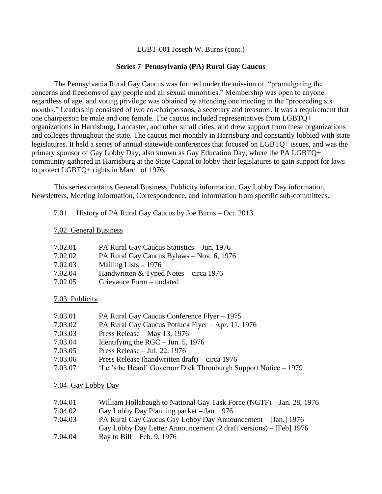## **Series 7 Pennsylvania (PA) Rural Gay Caucus**

The Pennsylvania Rural Gay Caucus was formed under the mission of "promulgating the concerns and freedoms of gay people and all sexual minorities." Membership was open to anyone regardless of age, and voting privilege was obtained by attending one meeting in the "proceeding six months." Leadership consisted of two co-chairpersons, a secretary and treasurer. It was a requirement that one chairperson be male and one female. The caucus included representatives from LGBTQ+ organizations in Harrisburg, Lancaster, and other small cities, and drew support from these organizations and colleges throughout the state. The caucus met monthly in Harrisburg and constantly lobbied with state legislatures. It held a series of annual statewide conferences that focused on LGBTQ+ issues, and was the primary sponsor of Gay Lobby Day, also known as Gay Education Day, where the PA LGBTQ+ community gathered in Harrisburg at the State Capital to lobby their legislatures to gain support for laws to protect LGBTQ+ rights in March of 1976.

This series contains General Business, Publicity information, Gay Lobby Day information, Newsletters, Meeting information, Correspondence, and information from specific sub-committees.

7.01 History of PA Rural Gay Caucus by Joe Burns – Oct. 2013

## 7.02 General Business

| 7.02.01 | PA Rural Gay Caucus Statistics - Jun. 1976 |
|---------|--------------------------------------------|
| 7.02.02 | PA Rural Gay Caucus Bylaws - Nov. 6, 1976  |
| 7.02.03 | Mailing Lists $-1976$                      |
| 7.02.04 | Handwritten $&$ Typed Notes – circa 1976   |
| 7.02.05 | Grievance Form – undated                   |

## 7.03 Publicity

| 7.03.01 | PA Rural Gay Caucus Conference Flyer – 1975                     |
|---------|-----------------------------------------------------------------|
| 7.03.02 | PA Rural Gay Caucus Potluck Flyer - Apr. 11, 1976               |
| 7.03.03 | Press Release – May 13, 1976                                    |
| 7.03.04 | Identifying the $RGC - Jun. 5$ , 1976                           |
| 7.03.05 | Press Release $-$ Jul. 22, 1976                                 |
| 7.03.06 | Press Release (handwritten draft) – circa $1976$                |
| 7.03.07 | 'Let's be Heard' Governor Dick Thronburgh Support Notice – 1979 |

## 7.04 Gay Lobby Day

| 7.04.01 | William Hollabaugh to National Gay Task Force (NGTF) – Jan. 28, 1976 |
|---------|----------------------------------------------------------------------|
| 7.04.02 | Gay Lobby Day Planning packet – Jan. 1976                            |
| 7.04.03 | PA Rural Gay Caucus Gay Lobby Day Announcement – [Jan.] 1976         |
|         | Gay Lobby Day Letter Announcement (2 draft versions) – [Feb] 1976    |
| 7.04.04 | Ray to Bill – Feb. 9, 1976                                           |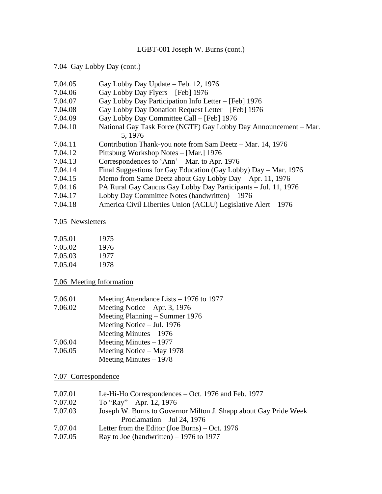#### 7.04 Gay Lobby Day (cont.)

- 7.04.05 Gay Lobby Day Update Feb. 12, 1976
- 7.04.06 Gay Lobby Day Flyers [Feb] 1976
- 7.04.07 Gay Lobby Day Participation Info Letter [Feb] 1976
- 7.04.08 Gay Lobby Day Donation Request Letter [Feb] 1976
- 7.04.09 Gay Lobby Day Committee Call [Feb] 1976
- 7.04.10 National Gay Task Force (NGTF) Gay Lobby Day Announcement Mar. 5, 1976
- 7.04.11 Contribution Thank-you note from Sam Deetz Mar. 14, 1976
- 7.04.12 Pittsburg Workshop Notes [Mar.] 1976
- 7.04.13 Correspondences to 'Ann' Mar. to Apr. 1976
- 7.04.14 Final Suggestions for Gay Education (Gay Lobby) Day Mar. 1976
- 7.04.15 Memo from Same Deetz about Gay Lobby Day Apr. 11, 1976
- 7.04.16 PA Rural Gay Caucus Gay Lobby Day Participants Jul. 11, 1976
- 7.04.17 Lobby Day Committee Notes (handwritten) 1976
- 7.04.18 America Civil Liberties Union (ACLU) Legislative Alert 1976

## 7.05 Newsletters

| 7.05.01 | 1975 |
|---------|------|
| 7.05.02 | 1976 |
| 7.05.03 | 1977 |
| 7.05.04 | 1978 |

## 7.06 Meeting Information

| 7.06.01 | Meeting Attendance Lists $-1976$ to 1977 |
|---------|------------------------------------------|
| 7.06.02 | Meeting Notice $-$ Apr. 3, 1976          |
|         | Meeting Planning – Summer 1976           |
|         | Meeting Notice $-$ Jul. 1976             |
|         | Meeting Minutes $-1976$                  |
| 7.06.04 | Meeting Minutes $-1977$                  |
| 7.06.05 | Meeting Notice – May 1978                |
|         | Meeting Minutes $-1978$                  |

## 7.07 Correspondence

| 7.07.01 | Le-Hi-Ho Correspondences – Oct. 1976 and Feb. 1977               |
|---------|------------------------------------------------------------------|
|         |                                                                  |
| 7.07.02 | To "Ray" $-$ Apr. 12, 1976                                       |
| 7.07.03 | Joseph W. Burns to Governor Milton J. Shapp about Gay Pride Week |
|         | Proclamation $-$ Jul 24, 1976                                    |
| 7.07.04 | Letter from the Editor (Joe Burns) – Oct. $1976$                 |

7.07.05 Ray to Joe (handwritten) – 1976 to 1977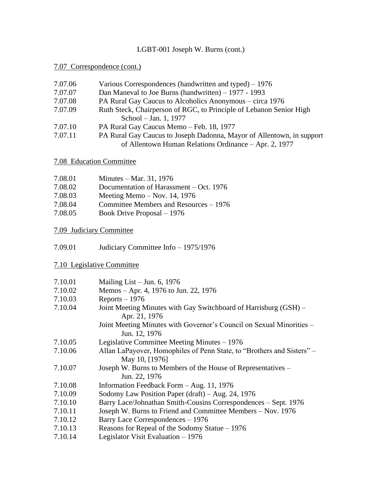# 7.07 Correspondence (cont.)

| 7.07.06 | Various Correspondences (handwritten and typed) – 1976                |
|---------|-----------------------------------------------------------------------|
| 7.07.07 | Dan Maneval to Joe Burns (handwritten) $-1977 - 1993$                 |
| 7.07.08 | PA Rural Gay Caucus to Alcoholics Anonymous – circa 1976              |
| 7.07.09 | Ruth Steck, Chairperson of RGC, to Principle of Lebanon Senior High   |
|         | School – Jan. 1, 1977                                                 |
| 7.07.10 | PA Rural Gay Caucus Memo - Feb. 18, 1977                              |
| 7.07.11 | PA Rural Gay Caucus to Joseph Dadonna, Mayor of Allentown, in support |
|         | of Allentown Human Relations Ordinance – Apr. 2, 1977                 |

## 7.08 Education Committee

| 7.08.01        | Minutes – Mar. 31, 1976                                                                                                                                                                                                                                                                                                            |
|----------------|------------------------------------------------------------------------------------------------------------------------------------------------------------------------------------------------------------------------------------------------------------------------------------------------------------------------------------|
| 7.08.02        | Documentation of Harassment – Oct. 1976                                                                                                                                                                                                                                                                                            |
| 7.08.03        | Meeting Memo $-$ Nov. 14, 1976                                                                                                                                                                                                                                                                                                     |
| 7.08.04        | Committee Members and Resources – 1976                                                                                                                                                                                                                                                                                             |
| $\sigma$ 00 05 | $\mathbf{D}$ $\mathbf{D}$ $\mathbf{D}$ $\mathbf{D}$ $\mathbf{D}$ $\mathbf{D}$ $\mathbf{D}$ $\mathbf{D}$ $\mathbf{D}$ $\mathbf{D}$ $\mathbf{D}$ $\mathbf{D}$ $\mathbf{D}$ $\mathbf{D}$ $\mathbf{D}$ $\mathbf{D}$ $\mathbf{D}$ $\mathbf{D}$ $\mathbf{D}$ $\mathbf{D}$ $\mathbf{D}$ $\mathbf{D}$ $\mathbf{D}$ $\mathbf{D}$ $\mathbf{$ |

# 7.08.05 Book Drive Proposal – 1976

# 7.09 Judiciary Committee

7.09.01 Judiciary Committee Info – 1975/1976

# 7.10 Legislative Committee

| Mailing List - Jun. 6, 1976                                                              |
|------------------------------------------------------------------------------------------|
|                                                                                          |
| Memos – Apr. 4, 1976 to Jun. 22, 1976                                                    |
| $Reports - 1976$                                                                         |
| Joint Meeting Minutes with Gay Switchboard of Harrisburg (GSH) –<br>Apr. 21, 1976        |
| Joint Meeting Minutes with Governor's Council on Sexual Minorities –<br>Jun. 12, 1976    |
| Legislative Committee Meeting Minutes $-1976$                                            |
| Allan LaPayover, Homophiles of Penn State, to "Brothers and Sisters" -<br>May 10, [1976] |
| Joseph W. Burns to Members of the House of Representatives –<br>Jun. 22, 1976            |
| Information Feedback Form - Aug. 11, 1976                                                |
| Sodomy Law Position Paper (draft) – Aug. 24, 1976                                        |
| Barry Lace/Johnathan Smith-Cousins Correspondences - Sept. 1976                          |
| Joseph W. Burns to Friend and Committee Members – Nov. 1976                              |
| Barry Lace Correspondences – 1976                                                        |
| Reasons for Repeal of the Sodomy Statue $-1976$                                          |
| Legislator Visit Evaluation $-1976$                                                      |
|                                                                                          |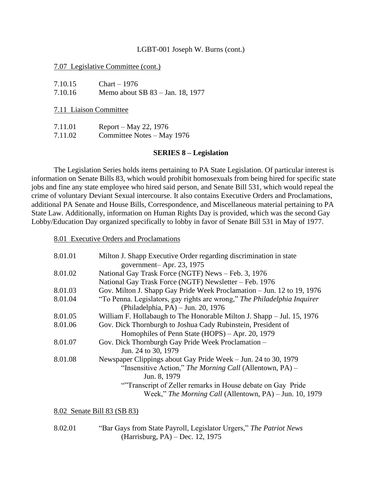#### 7.07 Legislative Committee (cont.)

| 7.10.15 | $Chart - 1976$                   |
|---------|----------------------------------|
| 7.10.16 | Memo about SB 83 – Jan. 18, 1977 |

7.11 Liaison Committee

| 7.11.01 | Report – May 22, 1976       |
|---------|-----------------------------|
| 7.11.02 | Committee Notes $-May$ 1976 |

#### **SERIES 8 – Legislation**

The Legislation Series holds items pertaining to PA State Legislation. Of particular interest is information on Senate Bills 83, which would prohibit homosexuals from being hired for specific state jobs and fine any state employee who hired said person, and Senate Bill 531, which would repeal the crime of voluntary Deviant Sexual intercourse. It also contains Executive Orders and Proclamations, additional PA Senate and House Bills, Correspondence, and Miscellaneous material pertaining to PA State Law. Additionally, information on Human Rights Day is provided, which was the second Gay Lobby/Education Day organized specifically to lobby in favor of Senate Bill 531 in May of 1977.

8.01 Executive Orders and Proclamations

| 8.01.01 | Milton J. Shapp Executive Order regarding discrimination in state        |
|---------|--------------------------------------------------------------------------|
|         | government-Apr. 23, 1975                                                 |
| 8.01.02 | National Gay Trask Force (NGTF) News - Feb. 3, 1976                      |
|         | National Gay Trask Force (NGTF) Newsletter – Feb. 1976                   |
| 8.01.03 | Gov. Milton J. Shapp Gay Pride Week Proclamation – Jun. 12 to 19, 1976   |
| 8.01.04 | "To Penna. Legislators, gay rights are wrong," The Philadelphia Inquirer |
|         | (Philadelphia, PA) – Jun. 20, 1976                                       |
| 8.01.05 | William F. Hollabaugh to The Honorable Milton J. Shapp – Jul. 15, 1976   |
| 8.01.06 | Gov. Dick Thornburgh to Joshua Cady Rubinstein, President of             |
|         | Homophiles of Penn State (HOPS) – Apr. 20, 1979                          |
| 8.01.07 | Gov. Dick Thornburgh Gay Pride Week Proclamation -                       |
|         | Jun. 24 to 30, 1979                                                      |
| 8.01.08 | Newspaper Clippings about Gay Pride Week – Jun. 24 to 30, 1979           |
|         | "Insensitive Action," The Morning Call (Allentown, PA) –                 |
|         | Jun. 8, 1979                                                             |
|         | "Transcript of Zeller remarks in House debate on Gay Pride"              |
|         | Week," The Morning Call (Allentown, PA) – Jun. 10, 1979                  |
|         |                                                                          |

8.02 Senate Bill 83 (SB 83)

| 8.02.01 | "Bar Gays from State Payroll, Legislator Urgers," The Patriot News |
|---------|--------------------------------------------------------------------|
|         | (Harrisburg, PA) – Dec. 12, 1975                                   |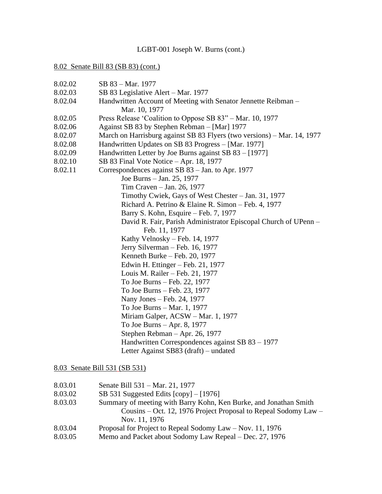#### 8.02 Senate Bill 83 (SB 83) (cont.)

8.02.02 SB 83 – Mar. 1977 8.02.03 SB 83 Legislative Alert – Mar. 1977 8.02.04 Handwritten Account of Meeting with Senator Jennette Reibman – Mar. 10, 1977 8.02.05 Press Release 'Coalition to Oppose SB 83" – Mar. 10, 1977 8.02.06 Against SB 83 by Stephen Rebman – [Mar] 1977 8.02.07 March on Harrisburg against SB 83 Flyers (two versions) – Mar. 14, 1977 8.02.08 Handwritten Updates on SB 83 Progress – [Mar. 1977] 8.02.09 Handwritten Letter by Joe Burns against SB 83 – [1977] 8.02.10 SB 83 Final Vote Notice – Apr. 18, 1977 8.02.11 Correspondences against SB 83 – Jan. to Apr. 1977 Joe Burns – Jan. 25, 1977 Tim Craven – Jan. 26, 1977 Timothy Cwiek, Gays of West Chester – Jan. 31, 1977 Richard A. Petrino & Elaine R. Simon – Feb. 4, 1977 Barry S. Kohn, Esquire – Feb. 7, 1977 David R. Fair, Parish Administrator Episcopal Church of UPenn – Feb. 11, 1977 Kathy Velnosky – Feb. 14, 1977 Jerry Silverman – Feb. 16, 1977 Kenneth Burke – Feb. 20, 1977 Edwin H. Ettinger – Feb. 21, 1977 Louis M. Railer – Feb. 21, 1977 To Joe Burns – Feb. 22, 1977 To Joe Burns – Feb. 23, 1977 Nany Jones – Feb. 24, 1977 To Joe Burns – Mar. 1, 1977 Miriam Galper, ACSW – Mar. 1, 1977 To Joe Burns – Apr. 8, 1977 Stephen Rebman – Apr. 26, 1977 Handwritten Correspondences against SB 83 – 1977 Letter Against SB83 (draft) – undated

#### 8.03 Senate Bill 531 (SB 531)

| 8.03.01 | Senate Bill 531 – Mar. 21, 1977                                   |
|---------|-------------------------------------------------------------------|
| 8.03.02 | SB 531 Suggested Edits $[copy] - [1976]$                          |
| 8.03.03 | Summary of meeting with Barry Kohn, Ken Burke, and Jonathan Smith |
|         | Cousins – Oct. 12, 1976 Project Proposal to Repeal Sodomy Law –   |
|         | Nov. 11, 1976                                                     |
| 8.03.04 | Proposal for Project to Repeal Sodomy Law – Nov. 11, 1976         |
| 8.03.05 | Memo and Packet about Sodomy Law Repeal – Dec. 27, 1976           |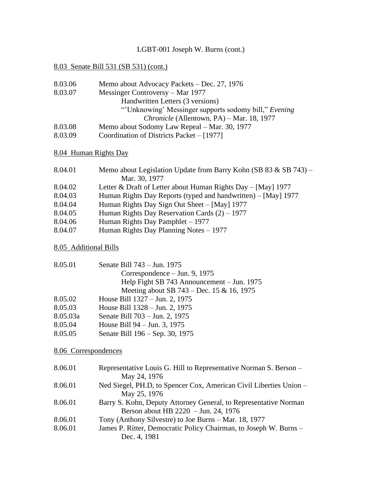# 8.03 Senate Bill 531 (SB 531) (cont.)

| Memo about Advocacy Packets – Dec. 27, 1976           |
|-------------------------------------------------------|
| Messinger Controversy – Mar 1977                      |
| Handwritten Letters (3 versions)                      |
| "Unknowing' Messinger supports sodomy bill," Evening" |
| Chronicle (Allentown, PA) – Mar. 18, 1977             |
| Memo about Sodomy Law Repeal – Mar. 30, 1977          |
| Coordination of Districts Packet $-$ [1977]           |
|                                                       |

# 8.04 Human Rights Day

| 8.04.01 | Memo about Legislation Update from Barry Kohn (SB 83 & SB 743) $-$ |
|---------|--------------------------------------------------------------------|
|         | Mar. 30, 1977                                                      |
| 8.04.02 | Letter & Draft of Letter about Human Rights Day $-$ [May] 1977     |
| 8.04.03 | Human Rights Day Reports (typed and handwritten) – [May] 1977      |
| 8.04.04 | Human Rights Day Sign Out Sheet – [May] 1977                       |
| 8.04.05 | Human Rights Day Reservation Cards $(2) - 1977$                    |
| 8.04.06 | Human Rights Day Pamphlet – 1977                                   |
| 8.04.07 | Human Rights Day Planning Notes – 1977                             |
|         |                                                                    |

## 8.05 Additional Bills

| Senate Bill 743 – Jun. 1975                |
|--------------------------------------------|
| Correspondence $-$ Jun. 9, 1975            |
| Help Fight SB 743 Announcement – Jun. 1975 |
| Meeting about SB 743 – Dec. 15 & 16, 1975  |
| House Bill 1327 – Jun. 2, 1975             |
| House Bill 1328 – Jun. 2, 1975             |
| Senate Bill 703 – Jun. 2, 1975             |
| House Bill 94 – Jun. 3, 1975               |
| Senate Bill 196 – Sep. 30, 1975            |
|                                            |

# 8.06 Correspondences

| 8.06.01<br>Representative Louis G. Hill to Representative Norman S. Berson –                  |  |
|-----------------------------------------------------------------------------------------------|--|
| May 24, 1976<br>Ned Siegel, PH.D, to Spencer Cox, American Civil Liberties Union –<br>8.06.01 |  |
| May 25, 1976                                                                                  |  |
| 8.06.01<br>Barry S. Kohn, Deputy Attorney General, to Representative Norman                   |  |
| Berson about HB 2220 - Jun. 24, 1976                                                          |  |
| 8.06.01<br>Tony (Anthony Silvestre) to Joe Burns – Mar. 18, 1977                              |  |
| 8.06.01<br>James P. Ritter, Democratic Policy Chairman, to Joseph W. Burns –                  |  |
| Dec. 4, 1981                                                                                  |  |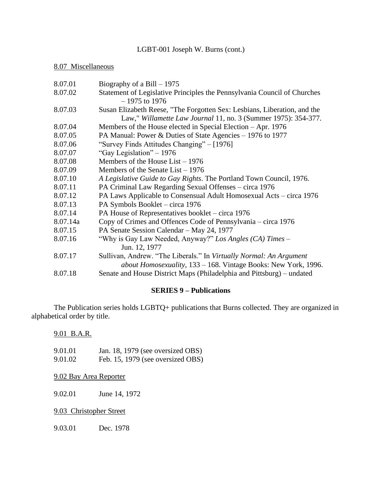# 8.07 Miscellaneous

| 8.07.01  | Biography of a Bill $-1975$                                              |
|----------|--------------------------------------------------------------------------|
| 8.07.02  | Statement of Legislative Principles the Pennsylvania Council of Churches |
|          | $-1975$ to 1976                                                          |
| 8.07.03  | Susan Elizabeth Reese, "The Forgotten Sex: Lesbians, Liberation, and the |
|          | Law," Willamette Law Journal 11, no. 3 (Summer 1975): 354-377.           |
| 8.07.04  | Members of the House elected in Special Election – Apr. 1976             |
| 8.07.05  | PA Manual: Power & Duties of State Agencies – 1976 to 1977               |
| 8.07.06  | "Survey Finds Attitudes Changing" – [1976]                               |
| 8.07.07  | "Gay Legislation" – 1976                                                 |
| 8.07.08  | Members of the House List $-1976$                                        |
| 8.07.09  | Members of the Senate List $-1976$                                       |
| 8.07.10  | A Legislative Guide to Gay Rights. The Portland Town Council, 1976.      |
| 8.07.11  | PA Criminal Law Regarding Sexual Offenses – circa 1976                   |
| 8.07.12  | PA Laws Applicable to Consensual Adult Homosexual Acts – circa 1976      |
| 8.07.13  | PA Symbols Booklet - circa 1976                                          |
| 8.07.14  | PA House of Representatives booklet – circa 1976                         |
| 8.07.14a | Copy of Crimes and Offences Code of Pennsylvania – circa 1976            |
| 8.07.15  | PA Senate Session Calendar - May 24, 1977                                |
| 8.07.16  | "Why is Gay Law Needed, Anyway?" Los Angles (CA) Times –                 |
|          | Jun. 12, 1977                                                            |
| 8.07.17  | Sullivan, Andrew. "The Liberals." In Virtually Normal: An Argument       |
|          | about Homosexuality, 133 – 168. Vintage Books: New York, 1996.           |
| 8.07.18  | Senate and House District Maps (Philadelphia and Pittsburg) – undated    |

# **SERIES 9 – Publications**

The Publication series holds LGBTQ+ publications that Burns collected. They are organized in alphabetical order by title.

9.01 B.A.R.

| 9.01.01 | Jan. 18, 1979 (see oversized OBS) |
|---------|-----------------------------------|
| 9.01.02 | Feb. 15, 1979 (see oversized OBS) |

9.02 Bay Area Reporter

9.02.01 June 14, 1972

9.03 Christopher Street

9.03.01 Dec. 1978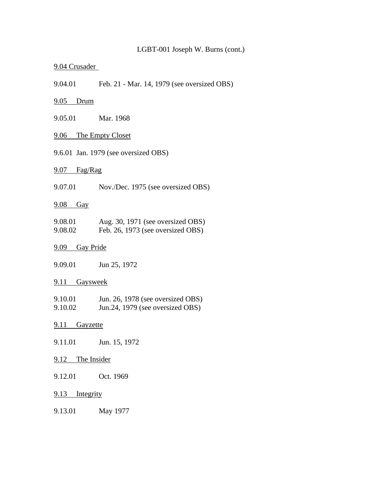### 9.04 Crusader

9.04.01 Feb. 21 - Mar. 14, 1979 (see oversized OBS)

# 9.05 Drum

9.05.01 Mar. 1968

# 9.06 The Empty Closet

9.6.01 Jan. 1979 (see oversized OBS)

## 9.07 Fag/Rag

9.07.01 Nov./Dec. 1975 (see oversized OBS)

#### 9.08 Gay

| 9.08.01 | Aug. 30, 1971 (see oversized OBS) |
|---------|-----------------------------------|
| 9.08.02 | Feb. 26, 1973 (see oversized OBS) |

## 9.09 Gay Pride

9.09.01 Jun 25, 1972

#### 9.11 Gaysweek

| 9.10.01 | Jun. 26, 1978 (see oversized OBS) |
|---------|-----------------------------------|
| 9.10.02 | Jun.24, 1979 (see oversized OBS)  |

### 9.11 Gayzette

9.11.01 Jun. 15, 1972

#### 9.12 The Insider

9.12.01 Oct. 1969

### 9.13 Integrity

9.13.01 May 1977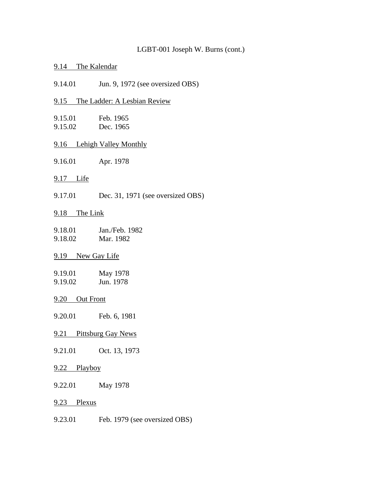#### 9.14 The Kalendar

9.14.01 Jun. 9, 1972 (see oversized OBS)

#### 9.15 The Ladder: A Lesbian Review

- 9.15.01 Feb. 1965 9.15.02 Dec. 1965
- 9.16 Lehigh Valley Monthly
- 9.16.01 Apr. 1978
- 9.17 Life
- 9.17.01 Dec. 31, 1971 (see oversized OBS)

## 9.18 The Link

| 9.18.01 | Jan./Feb. 1982 |
|---------|----------------|
| 9.18.02 | Mar. 1982      |

## 9.19 New Gay Life

| 9.19.01 | May 1978  |
|---------|-----------|
| 9.19.02 | Jun. 1978 |

#### 9.20 Out Front

9.20.01 Feb. 6, 1981

- 9.21 Pittsburg Gay News
- 9.21.01 Oct. 13, 1973

## 9.22 Playboy

9.22.01 May 1978

- 9.23 Plexus
- 9.23.01 Feb. 1979 (see oversized OBS)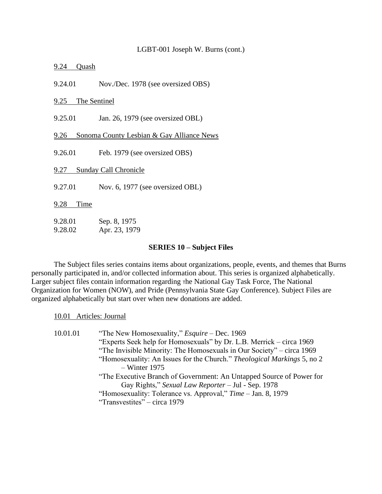9.24 Quash

9.24.01 Nov./Dec. 1978 (see oversized OBS)

9.25 The Sentinel

9.25.01 Jan. 26, 1979 (see oversized OBL)

9.26 Sonoma County Lesbian & Gay Alliance News

9.26.01 Feb. 1979 (see oversized OBS)

9.27 Sunday Call Chronicle

9.27.01 Nov. 6, 1977 (see oversized OBL)

9.28 Time

| 9.28.01 | Sep. 8, 1975  |
|---------|---------------|
| 9.28.02 | Apr. 23, 1979 |

#### **SERIES 10 – Subject Files**

The Subject files series contains items about organizations, people, events, and themes that Burns personally participated in, and/or collected information about. This series is organized alphabetically. Larger subject files contain information regarding the National Gay Task Force, The National Organization for Women (NOW), and Pride (Pennsylvania State Gay Conference). Subject Files are organized alphabetically but start over when new donations are added.

10.01 Articles: Journal

| 10.01.01 | "The New Homosexuality," <i>Esquire</i> – Dec. 1969                     |
|----------|-------------------------------------------------------------------------|
|          | "Experts Seek help for Homosexuals" by Dr. L.B. Merrick – circa 1969    |
|          | "The Invisible Minority: The Homosexuals in Our Society" – circa 1969   |
|          | "Homosexuality: An Issues for the Church." Theological Markings 5, no 2 |
|          | $-$ Winter 1975                                                         |
|          | "The Executive Branch of Government: An Untapped Source of Power for    |
|          | Gay Rights," Sexual Law Reporter - Jul - Sep. 1978                      |
|          | "Homosexuality: Tolerance vs. Approval," Time – Jan. 8, 1979            |
|          | "Transvestites" – circa 1979                                            |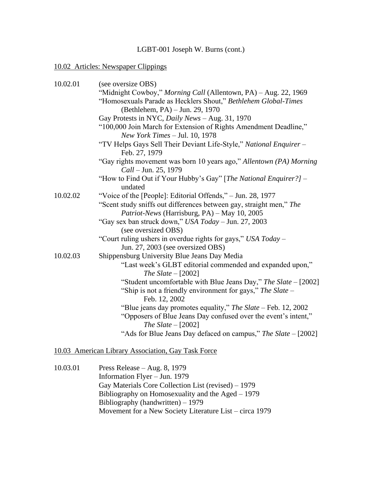# 10.02 Articles: Newspaper Clippings

| 10.02.01 | (see oversize OBS)                                                                          |
|----------|---------------------------------------------------------------------------------------------|
|          | "Midnight Cowboy," Morning Call (Allentown, PA) - Aug. 22, 1969                             |
|          | "Homosexuals Parade as Hecklers Shout," Bethlehem Global-Times                              |
|          | (Bethlehem, PA) – Jun. 29, 1970                                                             |
|          | Gay Protests in NYC, Daily News - Aug. 31, 1970                                             |
|          | "100,000 Join March for Extension of Rights Amendment Deadline,"                            |
|          | New York Times $-$ Jul. 10, 1978                                                            |
|          | "TV Helps Gays Sell Their Deviant Life-Style," National Enquirer -<br>Feb. 27, 1979         |
|          | "Gay rights movement was born 10 years ago," Allentown (PA) Morning<br>Call – Jun. 25, 1979 |
|          | "How to Find Out if Your Hubby's Gay" [The National Enquirer?] -<br>undated                 |
| 10.02.02 | "Voice of the [People]: Editorial Offends," - Jun. 28, 1977                                 |
|          | "Scent study sniffs out differences between gay, straight men," The                         |
|          | Patriot-News (Harrisburg, PA) - May 10, 2005                                                |
|          | "Gay sex ban struck down," USA Today - Jun. 27, 2003                                        |
|          | (see oversized OBS)                                                                         |
|          | "Court ruling ushers in overdue rights for gays," USA Today -                               |
|          | Jun. 27, 2003 (see oversized OBS)                                                           |
| 10.02.03 | Shippensburg University Blue Jeans Day Media                                                |
|          | "Last week's GLBT editorial commended and expanded upon,"                                   |
|          | The Slate $-[2002]$                                                                         |
|          | "Student uncomfortable with Blue Jeans Day," The Slate - [2002]                             |
|          | "Ship is not a friendly environment for gays," The Slate -                                  |
|          | Feb. 12, 2002                                                                               |
|          | "Blue jeans day promotes equality," The Slate - Feb. 12, 2002                               |
|          | "Opposers of Blue Jeans Day confused over the event's intent,"<br>The Slate $-[2002]$       |
|          | "Ads for Blue Jeans Day defaced on campus," The Slate - [2002]                              |

# 10.03 American Library Association, Gay Task Force

| 10.03.01 | Press Release $-$ Aug. 8, 1979                          |
|----------|---------------------------------------------------------|
|          | Information Flyer - Jun. 1979                           |
|          | Gay Materials Core Collection List (revised) – 1979     |
|          | Bibliography on Homosexuality and the Aged $-1979$      |
|          | Bibliography (handwritten) $-1979$                      |
|          | Movement for a New Society Literature List – circa 1979 |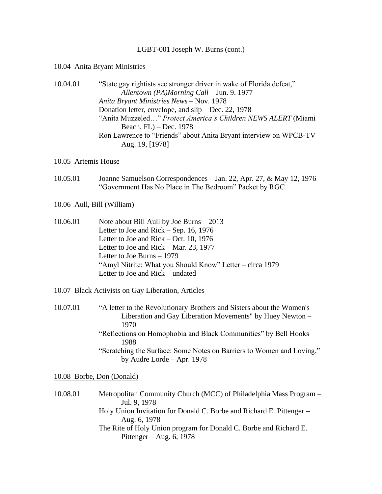#### 10.04 Anita Bryant Ministries

| 10.04.01 | "State gay rightists see stronger driver in wake of Florida defeat," |
|----------|----------------------------------------------------------------------|
|          | Allentown (PA)Morning Call – Jun. 9. 1977                            |
|          | Anita Bryant Ministries News - Nov. 1978                             |
|          | Donation letter, envelope, and $\sin$ – Dec. 22, 1978                |
|          | "Anita Muzzeled" Protect America's Children NEWS ALERT (Miami        |
|          | Beach, $FL$ ) – Dec. 1978                                            |
|          | Ron Lawrence to "Friends" about Anita Bryant interview on WPCB-TV –  |
|          | Aug. 19, [1978]                                                      |

#### 10.05 Artemis House

10.05.01 Joanne Samuelson Correspondences – Jan. 22, Apr. 27, & May 12, 1976 "Government Has No Place in The Bedroom" Packet by RGC

#### 10.06 Aull, Bill (William)

10.06.01 Note about Bill Aull by Joe Burns – 2013 Letter to Joe and Rick – Sep. 16, 1976 Letter to Joe and Rick – Oct. 10, 1976 Letter to Joe and Rick – Mar. 23, 1977 Letter to Joe Burns – 1979 "Amyl Nitrite: What you Should Know" Letter – circa 1979 Letter to Joe and Rick – undated

#### 10.07 Black Activists on Gay Liberation, Articles

10.07.01 "A letter to the Revolutionary Brothers and Sisters about the Women's Liberation and Gay Liberation Movements" by Huey Newton – 1970 "Reflections on Homophobia and Black Communities" by Bell Hooks – 1988 "Scratching the Surface: Some Notes on Barriers to Women and Loving," by Audre Lorde – Apr. 1978

#### 10.08 Borbe, Don (Donald)

10.08.01 Metropolitan Community Church (MCC) of Philadelphia Mass Program – Jul. 9, 1978 Holy Union Invitation for Donald C. Borbe and Richard E. Pittenger – Aug. 6, 1978 The Rite of Holy Union program for Donald C. Borbe and Richard E. Pittenger – Aug. 6, 1978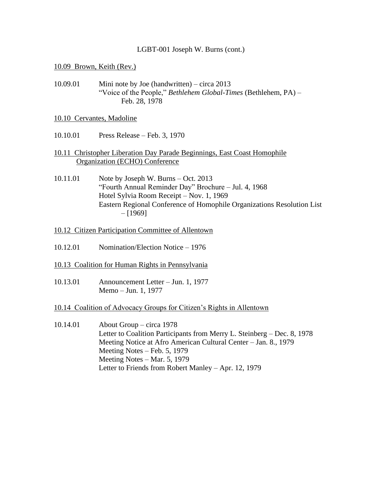#### 10.09 Brown, Keith (Rev.)

10.09.01 Mini note by Joe (handwritten) – circa 2013 "Voice of the People," *Bethlehem Global-Times* (Bethlehem, PA) – Feb. 28, 1978

#### 10.10 Cervantes, Madoline

- 10.10.01 Press Release Feb. 3, 1970
- 10.11 Christopher Liberation Day Parade Beginnings, East Coast Homophile Organization (ECHO) Conference
- 10.11.01 Note by Joseph W. Burns Oct. 2013 "Fourth Annual Reminder Day" Brochure – Jul. 4, 1968 Hotel Sylvia Room Receipt – Nov. 1, 1969 Eastern Regional Conference of Homophile Organizations Resolution List  $-$  [1969]
- 10.12 Citizen Participation Committee of Allentown
- 10.12.01 Nomination/Election Notice 1976
- 10.13 Coalition for Human Rights in Pennsylvania
- 10.13.01 Announcement Letter Jun. 1, 1977 Memo – Jun. 1, 1977
- 10.14 Coalition of Advocacy Groups for Citizen's Rights in Allentown
- 10.14.01 About Group circa 1978 Letter to Coalition Participants from Merry L. Steinberg – Dec. 8, 1978 Meeting Notice at Afro American Cultural Center – Jan. 8., 1979 Meeting Notes – Feb. 5, 1979 Meeting Notes – Mar. 5, 1979 Letter to Friends from Robert Manley – Apr. 12, 1979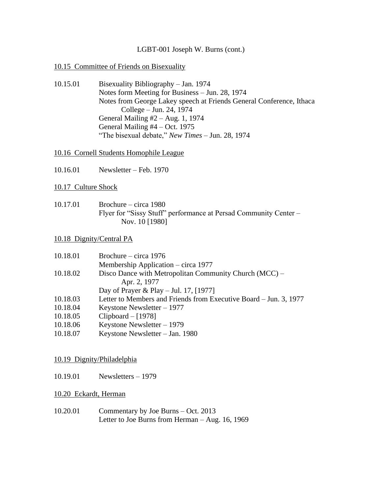## 10.15 Committee of Friends on Bisexuality

10.15.01 Bisexuality Bibliography – Jan. 1974 Notes form Meeting for Business – Jun. 28, 1974 Notes from George Lakey speech at Friends General Conference, Ithaca College – Jun. 24, 1974 General Mailing #2 – Aug. 1, 1974 General Mailing #4 – Oct. 1975 "The bisexual debate," *New Times* – Jun. 28, 1974

## 10.16 Cornell Students Homophile League

10.16.01 Newsletter – Feb. 1970

## 10.17 Culture Shock

10.17.01 Brochure – circa 1980 Flyer for "Sissy Stuff" performance at Persad Community Center – Nov. 10 [1980]

## 10.18 Dignity/Central PA

| 10.18.01 | Brochure – circa $1976$                                           |
|----------|-------------------------------------------------------------------|
|          | Membership Application – circa 1977                               |
| 10.18.02 | Disco Dance with Metropolitan Community Church (MCC) –            |
|          | Apr. 2, 1977                                                      |
|          | Day of Prayer & Play – Jul. 17, [1977]                            |
| 10.18.03 | Letter to Members and Friends from Executive Board – Jun. 3, 1977 |
| 10.18.04 | Keystone Newsletter $-1977$                                       |
| 10.18.05 | Clipboard $-[1978]$                                               |
| 10.18.06 | Keystone Newsletter $-1979$                                       |
| 10.18.07 | Keystone Newsletter - Jan. 1980                                   |

## 10.19 Dignity/Philadelphia

10.19.01 Newsletters – 1979

# 10.20 Eckardt, Herman

10.20.01 Commentary by Joe Burns – Oct. 2013 Letter to Joe Burns from Herman – Aug. 16, 1969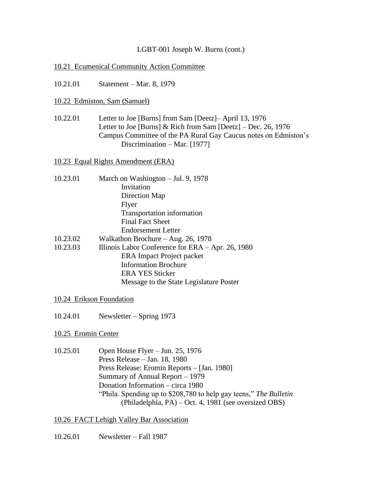## 10.21 Ecumenical Community Action Committee

10.21.01 Statement – Mar. 8, 1979

## 10.22 Edmiston, Sam (Samuel)

10.22.01 Letter to Joe [Burns] from Sam [Deetz]– April 13, 1976 Letter to Joe [Burns] & Rich from Sam [Deetz] – Dec. 26, 1976 Campus Committee of the PA Rural Gay Caucus notes on Edmiston's Discrimination – Mar. [1977]

10.23 Equal Rights Amendment (ERA)

- 10.23.01 March on Washington Jul. 9, 1978 Invitation Direction Map Flyer Transportation information Final Fact Sheet Endorsement Letter
- 10.23.02 Walkathon Brochure Aug. 26, 1978
- 10.23.03 Illinois Labor Conference for ERA Apr. 26, 1980 ERA Impact Project packet Information Brochure ERA YES Sticker Message to the State Legislature Poster

## 10.24 Erikson Foundation

10.24.01 Newsletter – Spring 1973

## 10.25 Eromin Center

10.25.01 Open House Flyer – Jun. 25, 1976 Press Release – Jan. 18, 1980 Press Release: Eromin Reports – [Jan. 1980] Summary of Annual Report – 1979 Donation Information – circa 1980 "Phila. Spending up to \$208,780 to help gay teens," *The Bulletin* (Philadelphia, PA) – Oct. 4, 1981 (see oversized OBS)

## 10.26 FACT Lehigh Valley Bar Association

10.26.01 Newsletter – Fall 1987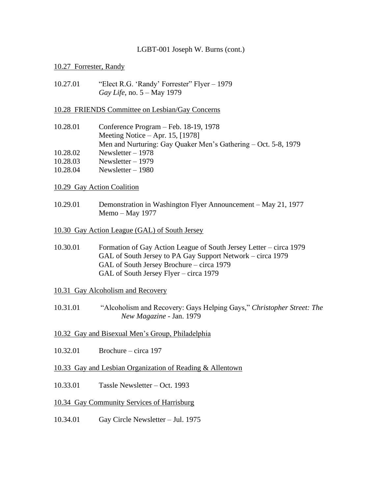### 10.27 Forrester, Randy

10.27.01 "Elect R.G. 'Randy' Forrester" Flyer – 1979 *Gay Life*, no. 5 – May 1979

#### 10.28 FRIENDS Committee on Lesbian/Gay Concerns

| 10.28.01 | Conference Program – Feb. 18-19, 1978                          |
|----------|----------------------------------------------------------------|
|          | Meeting Notice $-$ Apr. 15, [1978]                             |
|          | Men and Nurturing: Gay Quaker Men's Gathering – Oct. 5-8, 1979 |
| 10.28.02 | Newsletter $-1978$                                             |
| 10.28.03 | Newsletter $-1979$                                             |
| 10.28.04 | Newsletter $-1980$                                             |

- 10.29 Gay Action Coalition
- 10.29.01 Demonstration in Washington Flyer Announcement May 21, 1977 Memo – May 1977
- 10.30 Gay Action League (GAL) of South Jersey
- 10.30.01 Formation of Gay Action League of South Jersey Letter circa 1979 GAL of South Jersey to PA Gay Support Network – circa 1979 GAL of South Jersey Brochure – circa 1979 GAL of South Jersey Flyer – circa 1979

#### 10.31 Gay Alcoholism and Recovery

- 10.31.01 "Alcoholism and Recovery: Gays Helping Gays," *Christopher Street: The New Magazine* - Jan. 1979
- 10.32 Gay and Bisexual Men's Group, Philadelphia
- 10.32.01 Brochure circa 197
- 10.33 Gay and Lesbian Organization of Reading & Allentown
- 10.33.01 Tassle Newsletter Oct. 1993

#### 10.34 Gay Community Services of Harrisburg

10.34.01 Gay Circle Newsletter – Jul. 1975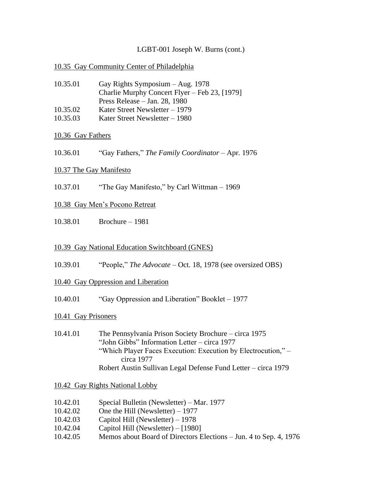## 10.35 Gay Community Center of Philadelphia

| 10.35.01 | Gay Rights Symposium $-$ Aug. 1978            |
|----------|-----------------------------------------------|
|          | Charlie Murphy Concert Flyer – Feb 23, [1979] |
|          | Press Release $-$ Jan. 28, 1980               |
| 10.35.02 | Kater Street Newsletter $-1979$               |
| 10.35.03 | Kater Street Newsletter – 1980                |

## 10.36 Gay Fathers

10.36.01 "Gay Fathers," *The Family Coordinator* – Apr. 1976

## 10.37 The Gay Manifesto

10.37.01 "The Gay Manifesto," by Carl Wittman – 1969

## 10.38 Gay Men's Pocono Retreat

10.38.01 Brochure – 1981

## 10.39 Gay National Education Switchboard (GNES)

10.39.01 "People," *The Advocate* – Oct. 18, 1978 (see oversized OBS)

## 10.40 Gay Oppression and Liberation

10.40.01 "Gay Oppression and Liberation" Booklet – 1977

## 10.41 Gay Prisoners

10.41.01 The Pennsylvania Prison Society Brochure – circa 1975 "John Gibbs" Information Letter – circa 1977 "Which Player Faces Execution: Execution by Electrocution," circa 1977 Robert Austin Sullivan Legal Defense Fund Letter – circa 1979

## 10.42 Gay Rights National Lobby

- 10.42.01 Special Bulletin (Newsletter) Mar. 1977
- 10.42.02 One the Hill (Newsletter) 1977
- 10.42.03 Capitol Hill (Newsletter) 1978
- 10.42.04 Capitol Hill (Newsletter) [1980]
- 10.42.05 Memos about Board of Directors Elections Jun. 4 to Sep. 4, 1976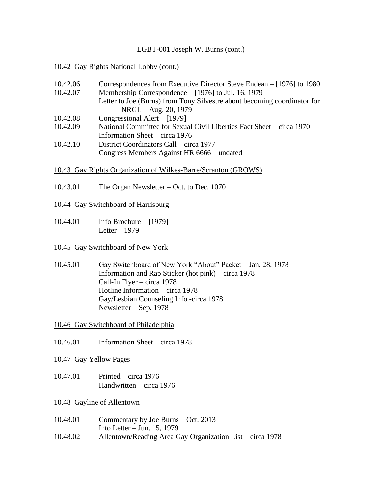## 10.42 Gay Rights National Lobby (cont.)

| 10.42.06 | Correspondences from Executive Director Steve Endean – [1976] to 1980    |
|----------|--------------------------------------------------------------------------|
| 10.42.07 | Membership Correspondence – [1976] to Jul. 16, 1979                      |
|          | Letter to Joe (Burns) from Tony Silvestre about becoming coordinator for |
|          | NRGL – Aug. 20, 1979                                                     |
| 10.42.08 | Congressional Alert $-[1979]$                                            |
| 10.42.09 | National Committee for Sexual Civil Liberties Fact Sheet – circa 1970    |
|          | Information Sheet – circa $1976$                                         |
| 10.42.10 | District Coordinators Call – circa 1977                                  |
|          | Congress Members Against HR 6666 – undated                               |

## 10.43 Gay Rights Organization of Wilkes-Barre/Scranton (GROWS)

10.43.01 The Organ Newsletter – Oct. to Dec. 1070

#### 10.44 Gay Switchboard of Harrisburg

10.44.01 Info Brochure – [1979] Letter – 1979

#### 10.45 Gay Switchboard of New York

10.45.01 Gay Switchboard of New York "About" Packet – Jan. 28, 1978 Information and Rap Sticker (hot pink) – circa 1978 Call-In Flyer – circa 1978 Hotline Information – circa 1978 Gay/Lesbian Counseling Info -circa 1978 Newsletter – Sep. 1978

10.46 Gay Switchboard of Philadelphia

- 10.46.01 Information Sheet circa 1978
- 10.47 Gay Yellow Pages
- 10.47.01 Printed circa 1976 Handwritten – circa 1976

#### 10.48 Gayline of Allentown

10.48.01 Commentary by Joe Burns – Oct. 2013 Into Letter – Jun. 15, 1979 10.48.02 Allentown/Reading Area Gay Organization List – circa 1978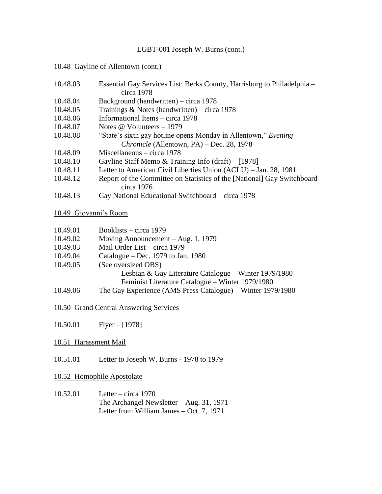#### 10.48 Gayline of Allentown (cont.)

| 10.48.03       | Essential Gay Services List: Berks County, Harrisburg to Philadelphia –<br>circa 1978   |
|----------------|-----------------------------------------------------------------------------------------|
| 10.48.04       | Background (handwritten) – circa 1978                                                   |
| 10.48.05       | Trainings & Notes (handwritten) – circa 1978                                            |
| 10.48.06       | Informational Items – circa 1978                                                        |
| 10.48.07       | Notes $\omega$ Volunteers – 1979                                                        |
| 10.48.08       | "State's sixth gay hotline opens Monday in Allentown," Evening                          |
|                | Chronicle (Allentown, PA) – Dec. 28, 1978                                               |
| 10.48.09       | Miscellaneous $-$ circa 1978                                                            |
| 10.48.10       | Gayline Staff Memo & Training Info $(drath) - [1978]$                                   |
| 10.48.11       | Letter to American Civil Liberties Union (ACLU) – Jan. 28, 1981                         |
| 10.48.12       | Report of the Committee on Statistics of the [National] Gay Switchboard –<br>circa 1976 |
| 10.48.13       | Gay National Educational Switchboard – circa 1978                                       |
|                | 10.49 Giovanni's Room                                                                   |
| 10.49.01       | Booklists – circa 1979                                                                  |
| 10.40 $\Omega$ | Moving Announcement Aug 1 1070                                                          |

- 10.49.02 Moving Announcement Aug. 1, 1979 10.49.03 Mail Order List – circa 1979
- 
- 10.49.04 Catalogue Dec. 1979 to Jan. 1980
- 10.49.05 (See oversized OBS)

Lesbian & Gay Literature Catalogue – Winter 1979/1980 Feminist Literature Catalogue – Winter 1979/1980

10.49.06 The Gay Experience (AMS Press Catalogue) – Winter 1979/1980

10.50 Grand Central Answering Services

10.50.01 Flyer – [1978]

## 10.51 Harassment Mail

10.51.01 Letter to Joseph W. Burns - 1978 to 1979

## 10.52 Homophile Apostolate

10.52.01 Letter – circa 1970 The Archangel Newsletter – Aug. 31, 1971 Letter from William James – Oct. 7, 1971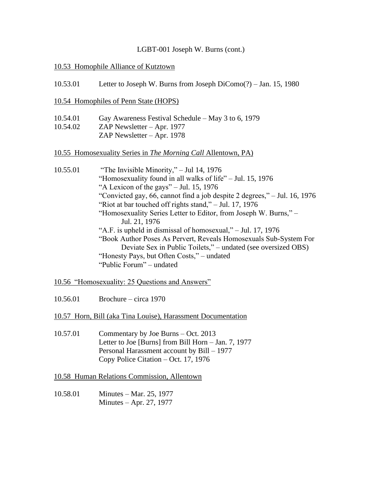#### 10.53 Homophile Alliance of Kutztown

- 10.53.01 Letter to Joseph W. Burns from Joseph DiComo(?) Jan. 15, 1980
- 10.54 Homophiles of Penn State (HOPS)
- 10.54.01 Gay Awareness Festival Schedule May 3 to 6, 1979
- 10.54.02 ZAP Newsletter Apr. 1977
	- ZAP Newsletter Apr. 1978

#### 10.55 Homosexuality Series in *The Morning Call* Allentown, PA)

- 10.55.01 "The Invisible Minority," Jul 14, 1976 "Homosexuality found in all walks of life" – Jul. 15, 1976 "A Lexicon of the gays" – Jul. 15, 1976 "Convicted gay, 66, cannot find a job despite 2 degrees," – Jul. 16, 1976 "Riot at bar touched off rights stand,"  $-$  Jul. 17, 1976 "Homosexuality Series Letter to Editor, from Joseph W. Burns," – Jul. 21, 1976 "A.F. is upheld in dismissal of homosexual," – Jul. 17, 1976 "Book Author Poses As Pervert, Reveals Homosexuals Sub-System For Deviate Sex in Public Toilets," – undated (see oversized OBS) "Honesty Pays, but Often Costs," – undated "Public Forum" – undated
- 10.56 "Homosexuality: 25 Questions and Answers"
- 10.56.01 Brochure circa 1970

10.57 Horn, Bill (aka Tina Louise), Harassment Documentation

10.57.01 Commentary by Joe Burns – Oct. 2013 Letter to Joe [Burns] from Bill Horn – Jan. 7, 1977 Personal Harassment account by Bill – 1977 Copy Police Citation – Oct. 17, 1976

10.58 Human Relations Commission, Allentown

10.58.01 Minutes – Mar. 25, 1977 Minutes – Apr. 27, 1977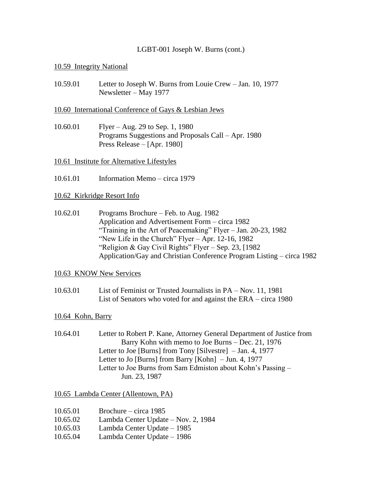### 10.59 Integrity National

10.59.01 Letter to Joseph W. Burns from Louie Crew – Jan. 10, 1977 Newsletter – May 1977

#### 10.60 International Conference of Gays & Lesbian Jews

10.60.01 Flyer – Aug. 29 to Sep. 1, 1980 Programs Suggestions and Proposals Call – Apr. 1980 Press Release – [Apr. 1980]

## 10.61 Institute for Alternative Lifestyles

10.61.01 Information Memo – circa 1979

#### 10.62 Kirkridge Resort Info

10.62.01 Programs Brochure – Feb. to Aug. 1982 Application and Advertisement Form – circa 1982 "Training in the Art of Peacemaking" Flyer – Jan. 20-23, 1982 "New Life in the Church" Flyer – Apr. 12-16, 1982 "Religion & Gay Civil Rights" Flyer – Sep. 23, [1982 Application/Gay and Christian Conference Program Listing – circa 1982

#### 10.63 KNOW New Services

10.63.01 List of Feminist or Trusted Journalists in PA – Nov. 11, 1981 List of Senators who voted for and against the ERA – circa 1980

#### 10.64 Kohn, Barry

10.64.01 Letter to Robert P. Kane, Attorney General Department of Justice from Barry Kohn with memo to Joe Burns – Dec. 21, 1976 Letter to Joe [Burns] from Tony [Silvestre] – Jan. 4, 1977 Letter to Jo [Burns] from Barry [Kohn] – Jun. 4, 1977 Letter to Joe Burns from Sam Edmiston about Kohn's Passing – Jun. 23, 1987

10.65 Lambda Center (Allentown, PA)

- 10.65.01 Brochure circa 1985
- 10.65.02 Lambda Center Update Nov. 2, 1984
- 10.65.03 Lambda Center Update 1985
- 10.65.04 Lambda Center Update 1986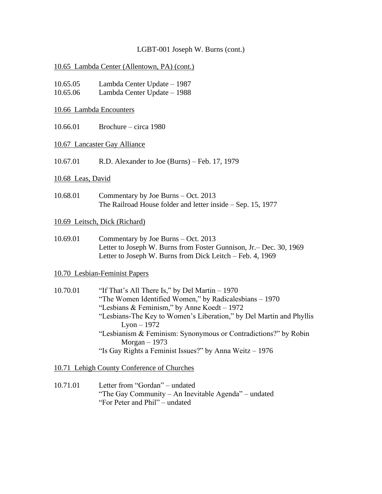#### 10.65 Lambda Center (Allentown, PA) (cont.)

| 10.65.05 | Lambda Center Update – 1987 |
|----------|-----------------------------|
|----------|-----------------------------|

- 10.65.06 Lambda Center Update 1988
- 10.66 Lambda Encounters
- 10.66.01 Brochure circa 1980

#### 10.67 Lancaster Gay Alliance

10.67.01 R.D. Alexander to Joe (Burns) – Feb. 17, 1979

#### 10.68 Leas, David

10.68.01 Commentary by Joe Burns – Oct. 2013 The Railroad House folder and letter inside – Sep. 15, 1977

#### 10.69 Leitsch, Dick (Richard)

10.69.01 Commentary by Joe Burns – Oct. 2013 Letter to Joseph W. Burns from Foster Gunnison, Jr.– Dec. 30, 1969 Letter to Joseph W. Burns from Dick Leitch – Feb. 4, 1969

#### 10.70 Lesbian-Feminist Papers

10.70.01 "If That's All There Is," by Del Martin – 1970 "The Women Identified Women," by Radicalesbians – 1970 "Lesbians & Feminism," by Anne Koedt – 1972 "Lesbians-The Key to Women's Liberation," by Del Martin and Phyllis  $L$ yon  $-1972$ "Lesbianism & Feminism: Synonymous or Contradictions?" by Robin Morgan – 1973 "Is Gay Rights a Feminist Issues?" by Anna Weitz – 1976

10.71 Lehigh County Conference of Churches

10.71.01 Letter from "Gordan" – undated "The Gay Community – An Inevitable Agenda" – undated "For Peter and Phil" – undated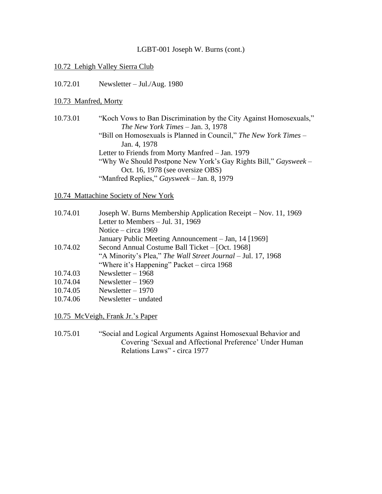#### 10.72 Lehigh Valley Sierra Club

10.72.01 Newsletter – Jul./Aug. 1980

#### 10.73 Manfred, Morty

10.73.01 "Koch Vows to Ban Discrimination by the City Against Homosexuals," *The New York Times* – Jan. 3, 1978 "Bill on Homosexuals is Planned in Council," *The New York Times* – Jan. 4, 1978 Letter to Friends from Morty Manfred – Jan. 1979 "Why We Should Postpone New York's Gay Rights Bill," *Gaysweek* – Oct. 16, 1978 (see oversize OBS) "Manfred Replies," *Gaysweek* – Jan. 8, 1979

#### 10.74 Mattachine Society of New York

| 10.74.01 | Joseph W. Burns Membership Application Receipt – Nov. 11, 1969 |
|----------|----------------------------------------------------------------|
|          | Letter to Members $-$ Jul. 31, 1969                            |
|          | Notice – circa 1969                                            |
|          | January Public Meeting Announcement – Jan, 14 [1969]           |
| 10.74.02 | Second Annual Costume Ball Ticket – [Oct. 1968]                |
|          | "A Minority's Plea," The Wall Street Journal - Jul. 17, 1968   |
|          | "Where it's Happening" Packet – circa 1968                     |
| 10.74.03 | Newsletter $-1968$                                             |
| 10.74.04 | Newsletter $-1969$                                             |
| 10.74.05 | Newsletter $-1970$                                             |
| 10.74.06 | $Newsletter - undated$                                         |
|          |                                                                |

10.75 McVeigh, Frank Jr.'s Paper

10.75.01 "Social and Logical Arguments Against Homosexual Behavior and Covering 'Sexual and Affectional Preference' Under Human Relations Laws" - circa 1977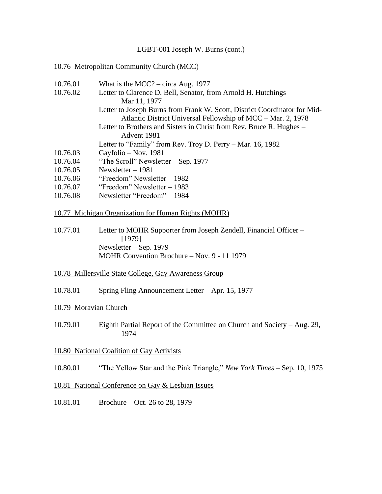#### 10.76 Metropolitan Community Church (MCC)

| 10.76.01 | What is the MCC? – circa Aug. 1977                                        |
|----------|---------------------------------------------------------------------------|
| 10.76.02 | Letter to Clarence D. Bell, Senator, from Arnold H. Hutchings -           |
|          | Mar 11, 1977                                                              |
|          | Letter to Joseph Burns from Frank W. Scott, District Coordinator for Mid- |
|          | Atlantic District Universal Fellowship of MCC – Mar. 2, 1978              |
|          | Letter to Brothers and Sisters in Christ from Rev. Bruce R. Hughes –      |
|          | Advent 1981                                                               |
|          | Letter to "Family" from Rev. Troy D. Perry – Mar. 16, 1982                |
| 10.76.03 | Gayfolio – Nov. 1981                                                      |
| 10.76.04 | "The Scroll" Newsletter $-$ Sep. 1977                                     |
| 10.76.05 | Newsletter $-1981$                                                        |
| 10.76.06 | "Freedom" Newsletter $-1982$                                              |
| 10.76.07 | "Freedom" Newsletter – 1983                                               |
|          |                                                                           |

10.76.08 Newsletter "Freedom" – 1984

#### 10.77 Michigan Organization for Human Rights (MOHR)

- 10.77.01 Letter to MOHR Supporter from Joseph Zendell, Financial Officer [1979] Newsletter – Sep. 1979 MOHR Convention Brochure – Nov. 9 - 11 1979
- 10.78 Millersville State College, Gay Awareness Group
- 10.78.01 Spring Fling Announcement Letter Apr. 15, 1977

#### 10.79 Moravian Church

10.79.01 Eighth Partial Report of the Committee on Church and Society – Aug. 29, 1974

#### 10.80 National Coalition of Gay Activists

10.80.01 "The Yellow Star and the Pink Triangle," *New York Times* – Sep. 10, 1975

# 10.81 National Conference on Gay & Lesbian Issues

10.81.01 Brochure – Oct. 26 to 28, 1979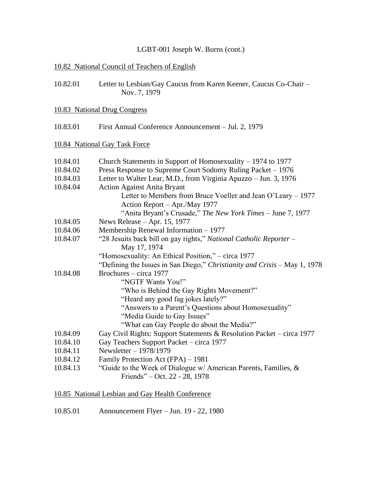# 10.82 National Council of Teachers of English

| 10.82.01 | Letter to Lesbian/Gay Caucus from Karen Keener, Caucus Co-Chair - |
|----------|-------------------------------------------------------------------|
|          | Nov. 7, 1979                                                      |

## 10.83 National Drug Congress

10.83.01 First Annual Conference Announcement – Jul. 2, 1979

# 10.84 National Gay Task Force

| 10.84.01 | Church Statements in Support of Homosexuality - 1974 to 1977              |
|----------|---------------------------------------------------------------------------|
| 10.84.02 | Press Response to Supreme Court Sodomy Ruling Packet – 1976               |
| 10.84.03 | Letter to Walter Lear, M.D., from Virginia Apuzzo – Jun. 3, 1976          |
| 10.84.04 | <b>Action Against Anita Bryant</b>                                        |
|          | Letter to Members from Bruce Voeller and Jean O'Leary – 1977              |
|          | Action Report – Apr./May 1977                                             |
|          | "Anita Bryant's Crusade," The New York Times - June 7, 1977               |
| 10.84.05 | News Release $-$ Apr. 15, 1977                                            |
| 10.84.06 | Membership Renewal Information - 1977                                     |
| 10.84.07 | "28 Jesuits back bill on gay rights," National Catholic Reporter -        |
|          | May 17, 1974                                                              |
|          | "Homosexuality: An Ethical Position," – circa 1977                        |
|          | "Defining the Issues in San Diego," Christianity and Crisis – May 1, 1978 |
| 10.84.08 | Brochures – circa 1977                                                    |
|          | "NGTF Wants You!"                                                         |
|          | "Who is Behind the Gay Rights Movement?"                                  |
|          | "Heard any good fag jokes lately?"                                        |
|          | "Answers to a Parent's Questions about Homosexuality"                     |
|          | "Media Guide to Gay Issues"                                               |
|          | "What can Gay People do about the Media?"                                 |
| 10.84.09 | Gay Civil Rights: Support Statements & Resolution Packet – circa 1977     |
| 10.84.10 | Gay Teachers Support Packet – circa 1977                                  |
| 10.84.11 | Newsletter - 1978/1979                                                    |
| 10.84.12 | Family Protection Act (FPA) – 1981                                        |
| 10.84.13 | "Guide to the Week of Dialogue w/ American Parents, Families, $\&$        |
|          | Friends" – Oct. 22 - 28, 1978                                             |
|          |                                                                           |

# 10.85 National Lesbian and Gay Health Conference

10.85.01 Announcement Flyer – Jun. 19 - 22, 1980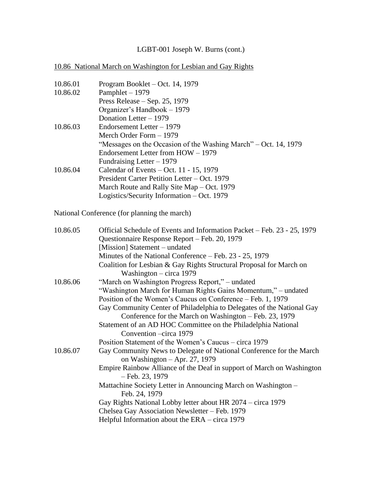# 10.86 National March on Washington for Lesbian and Gay Rights

| 10.86.01 | Program Booklet – Oct. 14, 1979                                                            |
|----------|--------------------------------------------------------------------------------------------|
| 10.86.02 | Pamphlet - 1979                                                                            |
|          | Press Release $-$ Sep. 25, 1979                                                            |
|          | Organizer's Handbook - 1979                                                                |
|          | Donation Letter - 1979                                                                     |
| 10.86.03 | Endorsement Letter - 1979                                                                  |
|          | Merch Order Form - 1979                                                                    |
|          | "Messages on the Occasion of the Washing March" – Oct. 14, 1979                            |
|          | Endorsement Letter from HOW - 1979                                                         |
|          | Fundraising Letter $-1979$                                                                 |
| 10.86.04 | Calendar of Events $-$ Oct. 11 - 15, 1979                                                  |
|          | President Carter Petition Letter – Oct. 1979                                               |
|          | March Route and Rally Site Map – Oct. 1979                                                 |
|          | Logistics/Security Information – Oct. 1979                                                 |
|          | National Conference (for planning the march)                                               |
|          |                                                                                            |
| 10.86.05 | Official Schedule of Events and Information Packet - Feb. 23 - 25, 1979                    |
|          | Questionnaire Response Report – Feb. 20, 1979                                              |
|          | [Mission] Statement – undated                                                              |
|          | Minutes of the National Conference - Feb. 23 - 25, 1979                                    |
|          | Coalition for Lesbian & Gay Rights Structural Proposal for March on                        |
|          | Washington $-$ circa 1979                                                                  |
| 10.86.06 | "March on Washington Progress Report," – undated                                           |
|          | "Washington March for Human Rights Gains Momentum," – undated                              |
|          | Position of the Women's Caucus on Conference – Feb. 1, 1979                                |
|          | Gay Community Center of Philadelphia to Delegates of the National Gay                      |
|          | Conference for the March on Washington – Feb. 23, 1979                                     |
|          | Statement of an AD HOC Committee on the Philadelphia National                              |
|          | Convention – circa 1979                                                                    |
|          | Position Statement of the Women's Caucus – circa 1979                                      |
| 10.86.07 | Gay Community News to Delegate of National Conference for the March                        |
|          | on Washington $-$ Apr. 27, 1979                                                            |
|          | Empire Rainbow Alliance of the Deaf in support of March on Washington<br>$-$ Feb. 23, 1979 |
|          | Mattachine Society Letter in Announcing March on Washington -                              |
|          | Feb. 24, 1979                                                                              |
|          | Gay Rights National Lobby letter about HR 2074 – circa 1979                                |
|          | Chelsea Gay Association Newsletter - Feb. 1979                                             |
|          | Helpful Information about the $ERA - circa 1979$                                           |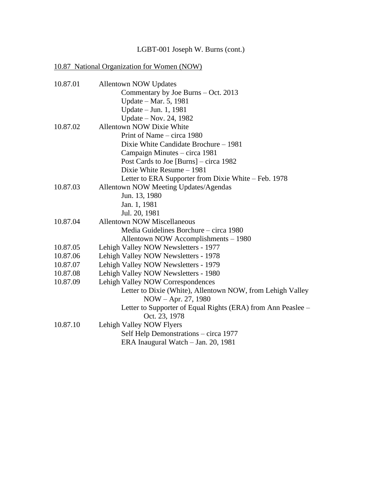# 10.87 National Organization for Women (NOW)

| 10.87.01 | <b>Allentown NOW Updates</b>                                 |
|----------|--------------------------------------------------------------|
|          | Commentary by Joe Burns - Oct. 2013                          |
|          | Update - Mar. 5, 1981                                        |
|          | Update – Jun. 1, 1981                                        |
|          | Update – Nov. 24, 1982                                       |
| 10.87.02 | <b>Allentown NOW Dixie White</b>                             |
|          | Print of Name – circa 1980                                   |
|          | Dixie White Candidate Brochure - 1981                        |
|          | Campaign Minutes – circa 1981                                |
|          | Post Cards to Joe [Burns] $-$ circa 1982                     |
|          | Dixie White Resume - 1981                                    |
|          | Letter to ERA Supporter from Dixie White – Feb. 1978         |
| 10.87.03 | Allentown NOW Meeting Updates/Agendas                        |
|          | Jun. 13, 1980                                                |
|          | Jan. 1, 1981                                                 |
|          | Jul. 20, 1981                                                |
| 10.87.04 | <b>Allentown NOW Miscellaneous</b>                           |
|          | Media Guidelines Borchure – circa 1980                       |
|          | Allentown NOW Accomplishments - 1980                         |
| 10.87.05 | Lehigh Valley NOW Newsletters - 1977                         |
| 10.87.06 | Lehigh Valley NOW Newsletters - 1978                         |
| 10.87.07 | Lehigh Valley NOW Newsletters - 1979                         |
| 10.87.08 | Lehigh Valley NOW Newsletters - 1980                         |
| 10.87.09 | Lehigh Valley NOW Correspondences                            |
|          | Letter to Dixie (White), Allentown NOW, from Lehigh Valley   |
|          | NOW – Apr. 27, 1980                                          |
|          | Letter to Supporter of Equal Rights (ERA) from Ann Peaslee – |
|          | Oct. 23, 1978                                                |
| 10.87.10 | Lehigh Valley NOW Flyers                                     |
|          | Self Help Demonstrations – circa 1977                        |
|          | ERA Inaugural Watch - Jan. 20, 1981                          |
|          |                                                              |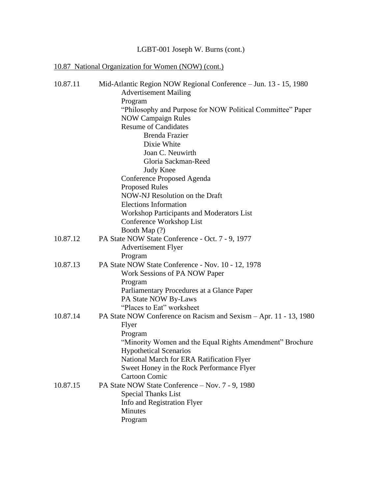# 10.87 National Organization for Women (NOW) (cont.)

| 10.87.11 | Mid-Atlantic Region NOW Regional Conference - Jun. 13 - 15, 1980  |
|----------|-------------------------------------------------------------------|
|          | <b>Advertisement Mailing</b>                                      |
|          | Program                                                           |
|          | "Philosophy and Purpose for NOW Political Committee" Paper        |
|          | <b>NOW Campaign Rules</b>                                         |
|          | <b>Resume of Candidates</b>                                       |
|          | Brenda Frazier                                                    |
|          | Dixie White                                                       |
|          | Joan C. Neuwirth                                                  |
|          | Gloria Sackman-Reed                                               |
|          | <b>Judy Knee</b>                                                  |
|          | Conference Proposed Agenda                                        |
|          | <b>Proposed Rules</b>                                             |
|          | NOW-NJ Resolution on the Draft                                    |
|          | <b>Elections Information</b>                                      |
|          | <b>Workshop Participants and Moderators List</b>                  |
|          | Conference Workshop List                                          |
|          | Booth Map (?)                                                     |
| 10.87.12 | PA State NOW State Conference - Oct. 7 - 9, 1977                  |
|          | <b>Advertisement Flyer</b>                                        |
|          | Program                                                           |
| 10.87.13 | PA State NOW State Conference - Nov. 10 - 12, 1978                |
|          | Work Sessions of PA NOW Paper                                     |
|          | Program                                                           |
|          | Parliamentary Procedures at a Glance Paper                        |
|          | PA State NOW By-Laws                                              |
|          | "Places to Eat" worksheet                                         |
| 10.87.14 | PA State NOW Conference on Racism and Sexism - Apr. 11 - 13, 1980 |
|          | Flyer                                                             |
|          | Program                                                           |
|          | "Minority Women and the Equal Rights Amendment" Brochure          |
|          | <b>Hypothetical Scenarios</b>                                     |
|          | National March for ERA Ratification Flyer                         |
|          | Sweet Honey in the Rock Performance Flyer                         |
|          | <b>Cartoon Comic</b>                                              |
| 10.87.15 | PA State NOW State Conference - Nov. 7 - 9, 1980                  |
|          | <b>Special Thanks List</b>                                        |
|          | Info and Registration Flyer                                       |
|          | Minutes                                                           |
|          | Program                                                           |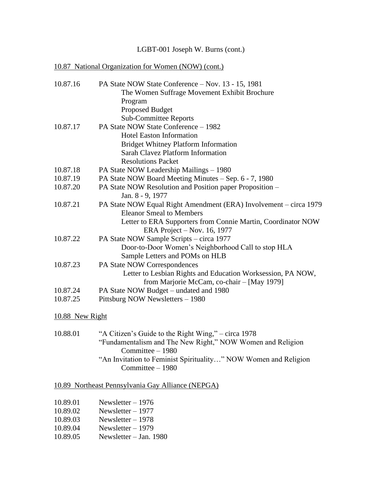# 10.87 National Organization for Women (NOW) (cont.)

| 10.87.16 | PA State NOW State Conference – Nov. 13 - 15, 1981                |
|----------|-------------------------------------------------------------------|
|          | The Women Suffrage Movement Exhibit Brochure                      |
|          | Program                                                           |
|          | <b>Proposed Budget</b>                                            |
|          | <b>Sub-Committee Reports</b>                                      |
| 10.87.17 | PA State NOW State Conference - 1982                              |
|          | <b>Hotel Easton Information</b>                                   |
|          | <b>Bridget Whitney Platform Information</b>                       |
|          | <b>Sarah Clavez Platform Information</b>                          |
|          | <b>Resolutions Packet</b>                                         |
| 10.87.18 | PA State NOW Leadership Mailings - 1980                           |
| 10.87.19 | PA State NOW Board Meeting Minutes - Sep. 6 - 7, 1980             |
| 10.87.20 | PA State NOW Resolution and Position paper Proposition –          |
|          | Jan. 8 - 9, 1977                                                  |
| 10.87.21 | PA State NOW Equal Right Amendment (ERA) Involvement - circa 1979 |
|          | <b>Eleanor Smeal to Members</b>                                   |
|          | Letter to ERA Supporters from Connie Martin, Coordinator NOW      |
|          | ERA Project – Nov. 16, 1977                                       |
| 10.87.22 | PA State NOW Sample Scripts – circa 1977                          |
|          | Door-to-Door Women's Neighborhood Call to stop HLA                |
|          | Sample Letters and POMs on HLB                                    |
| 10.87.23 | PA State NOW Correspondences                                      |
|          | Letter to Lesbian Rights and Education Worksession, PA NOW,       |
|          | from Marjorie McCam, co-chair - [May 1979]                        |
| 10.87.24 | PA State NOW Budget – undated and 1980                            |
| 10.87.25 | Pittsburg NOW Newsletters - 1980                                  |
|          |                                                                   |

# 10.88 New Right

| "A Citizen's Guide to the Right Wing," – circa 1978                                  |
|--------------------------------------------------------------------------------------|
| "Fundamentalism and The New Right," NOW Women and Religion                           |
| $Committee - 1980$                                                                   |
| "An Invitation to Feminist Spirituality" NOW Women and Religion<br>Committee $-1980$ |
|                                                                                      |

# 10.89 Northeast Pennsylvania Gay Alliance (NEPGA)

| 10.89.01 | Newsletter $-1976$ |  |
|----------|--------------------|--|
|          |                    |  |

- 10.89.02 Newsletter 1977<br>10.89.03 Newsletter 1978
- $N$ ewsletter 1978
- 10.89.04 Newsletter 1979
- 10.89.05 Newsletter Jan. 1980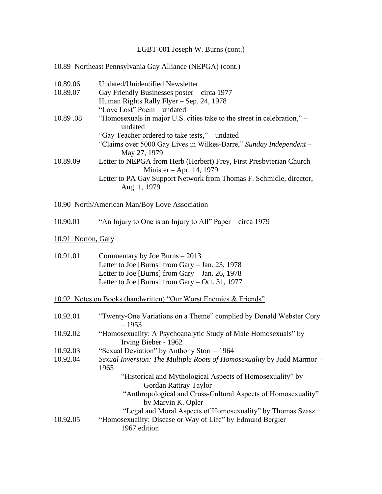# 10.89 Northeast Pennsylvania Gay Alliance (NEPGA) (cont.)

| 10.89.06           | <b>Undated/Unidentified Newsletter</b>                                                          |  |
|--------------------|-------------------------------------------------------------------------------------------------|--|
| 10.89.07           | Gay Friendly Businesses poster – circa 1977                                                     |  |
|                    | Human Rights Rally Flyer - Sep. 24, 1978                                                        |  |
|                    | "Love Lost" Poem - undated                                                                      |  |
| 10.89.08           | "Homosexuals in major U.S. cities take to the street in celebration," –<br>undated              |  |
|                    | "Gay Teacher ordered to take tests," – undated                                                  |  |
|                    | "Claims over 5000 Gay Lives in Wilkes-Barre," Sunday Independent -<br>May 27, 1979              |  |
| 10.89.09           | Letter to NEPGA from Herb (Herbert) Frey, First Presbyterian Church<br>Minister - Apr. 14, 1979 |  |
|                    | Letter to PA Gay Support Network from Thomas F. Schmidle, director, -<br>Aug. 1, 1979           |  |
|                    | 10.90 North/American Man/Boy Love Association                                                   |  |
| 10.90.01           | "An Injury to One is an Injury to All" Paper – circa 1979                                       |  |
| 10.91 Norton, Gary |                                                                                                 |  |
| 10.91.01           | Commentary by Joe Burns $-2013$                                                                 |  |
|                    | Letter to Joe [Burns] from Gary - Jan. 23, 1978                                                 |  |
|                    | Letter to Joe [Burns] from Gary $-$ Jan. 26, 1978                                               |  |
|                    | Letter to Joe [Burns] from Gary $-$ Oct. 31, 1977                                               |  |
|                    | <u>10.92 Notes on Books (handwritten) "Our Worst Enemies &amp; Friends"</u>                     |  |
| 10.92.01           | "Twenty-One Variations on a Theme" complied by Donald Webster Cory<br>$-1953$                   |  |
| 10.92.02           | "Homosexuality: A Psychoanalytic Study of Male Homosexuals" by<br>Irving Bieber - 1962          |  |
| 10.92.03           | "Sexual Deviation" by Anthony Storr - 1964                                                      |  |
| 10.92.04           | Sexual Inversion: The Multiple Roots of Homosexuality by Judd Marmor -<br>1965                  |  |
|                    | "Historical and Mythological Aspects of Homosexuality" by<br>Gordan Rattray Taylor              |  |
|                    | "Anthropological and Cross-Cultural Aspects of Homosexuality"<br>by Marvin K. Opler             |  |
|                    | "Legal and Moral Aspects of Homosexuality" by Thomas Szasz                                      |  |
| 10.92.05           | "Homosexuality: Disease or Way of Life" by Edmund Bergler –<br>1967 edition                     |  |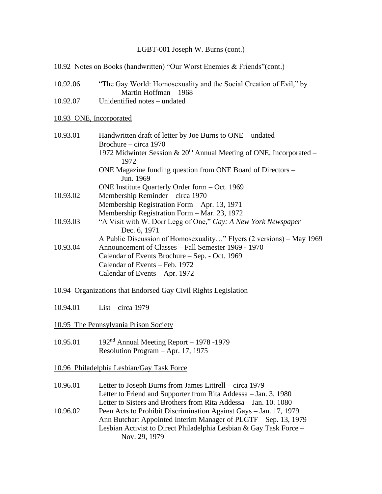# 10.92 Notes on Books (handwritten) "Our Worst Enemies & Friends"(cont.) 10.92.06 "The Gay World: Homosexuality and the Social Creation of Evil," by Martin Hoffman – 1968 10.92.07 Unidentified notes – undated 10.93 ONE, Incorporated 10.93.01 Handwritten draft of letter by Joe Burns to ONE – undated Brochure – circa 1970 1972 Midwinter Session  $& 20<sup>th</sup>$  Annual Meeting of ONE, Incorporated – 1972 ONE Magazine funding question from ONE Board of Directors – Jun. 1969 ONE Institute Quarterly Order form – Oct. 1969 10.93.02 Membership Reminder – circa 1970 Membership Registration Form – Apr. 13, 1971 Membership Registration Form – Mar. 23, 1972 10.93.03 "A Visit with W. Dorr Legg of One," *Gay: A New York Newspaper* – Dec. 6, 1971 A Public Discussion of Homosexuality…" Flyers (2 versions) – May 1969 10.93.04 Announcement of Classes – Fall Semester 1969 - 1970 Calendar of Events Brochure – Sep. - Oct. 1969 Calendar of Events – Feb. 1972 Calendar of Events – Apr. 1972 10.94 Organizations that Endorsed Gay Civil Rights Legislation 10.94.01 List – circa 1979 10.95 The Pennsylvania Prison Society 10.95.01 192nd Annual Meeting Report – 1978 -1979 Resolution Program – Apr. 17, 1975 10.96 Philadelphia Lesbian/Gay Task Force 10.96.01 Letter to Joseph Burns from James Littrell – circa 1979 Letter to Friend and Supporter from Rita Addessa – Jan. 3, 1980 Letter to Sisters and Brothers from Rita Addessa – Jan. 10. 1080 10.96.02 Peen Acts to Prohibit Discrimination Against Gays – Jan. 17, 1979 Ann Butchart Appointed Interim Manager of PLGTF – Sep. 13, 1979 Lesbian Activist to Direct Philadelphia Lesbian & Gay Task Force – Nov. 29, 1979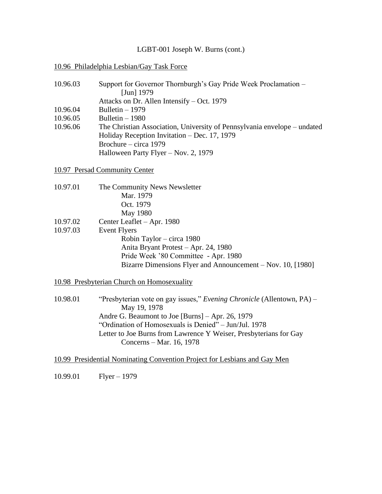#### 10.96 Philadelphia Lesbian/Gay Task Force

| 10.96.03 | Support for Governor Thornburgh's Gay Pride Week Proclamation –          |
|----------|--------------------------------------------------------------------------|
|          | [Jun] $1979$                                                             |
|          | Attacks on Dr. Allen Intensify – Oct. 1979                               |
| 10.96.04 | Bulletin $-1979$                                                         |
| 10.96.05 | Bulletin $-1980$                                                         |
| 10.96.06 | The Christian Association, University of Pennsylvania envelope – undated |
|          | Holiday Reception Invitation – Dec. $17, 1979$                           |
|          | Brochure – circa $1979$                                                  |
|          | Halloween Party Flyer – Nov. 2, 1979                                     |

10.97 Persad Community Center

| 10.97.01             | The Community News Newsletter<br>Mar. 1979<br>Oct. 1979<br>May 1980                                                                                                                                                           |
|----------------------|-------------------------------------------------------------------------------------------------------------------------------------------------------------------------------------------------------------------------------|
| 10.97.02<br>10.97.03 | Center Leaflet – Apr. 1980<br><b>Event Flyers</b><br>Robin Taylor – circa 1980<br>Anita Bryant Protest - Apr. 24, 1980<br>Pride Week '80 Committee - Apr. 1980<br>Bizarre Dimensions Flyer and Announcement – Nov. 10, [1980] |

10.98 Presbyterian Church on Homosexuality

10.98.01 "Presbyterian vote on gay issues," *Evening Chronicle* (Allentown, PA) – May 19, 1978 Andre G. Beaumont to Joe [Burns] – Apr. 26, 1979 "Ordination of Homosexuals is Denied" – Jun/Jul. 1978 Letter to Joe Burns from Lawrence Y Weiser, Presbyterians for Gay Concerns – Mar. 16, 1978

10.99 Presidential Nominating Convention Project for Lesbians and Gay Men

10.99.01 Flyer – 1979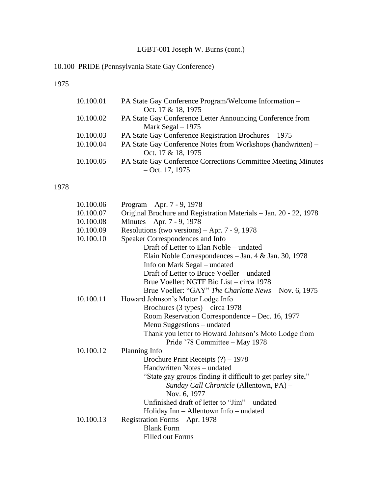# 10.100 PRIDE (Pennsylvania State Gay Conference)

# 1975

| 10.100.01 | PA State Gay Conference Program/Welcome Information –                |
|-----------|----------------------------------------------------------------------|
|           | Oct. 17 & 18, 1975                                                   |
| 10.100.02 | PA State Gay Conference Letter Announcing Conference from            |
|           | Mark Segal $-1975$                                                   |
| 10.100.03 | PA State Gay Conference Registration Brochures – 1975                |
| 10.100.04 | PA State Gay Conference Notes from Workshops (handwritten) –         |
|           | Oct. 17 & 18, 1975                                                   |
| 10.100.05 | <b>PA State Gay Conference Corrections Committee Meeting Minutes</b> |
|           | $-$ Oct. 17, 1975                                                    |

# 1978

| 10.100.06 | Program – Apr. $7 - 9$ , 1978                                     |
|-----------|-------------------------------------------------------------------|
| 10.100.07 | Original Brochure and Registration Materials - Jan. 20 - 22, 1978 |
| 10.100.08 | Minutes – Apr. 7 - 9, 1978                                        |
| 10.100.09 | Resolutions (two versions) – Apr. $7 - 9$ , 1978                  |
| 10.100.10 | Speaker Correspondences and Info                                  |
|           | Draft of Letter to Elan Noble – undated                           |
|           | Elain Noble Correspondences – Jan. 4 & Jan. 30, 1978              |
|           | Info on Mark Segal – undated                                      |
|           | Draft of Letter to Bruce Voeller – undated                        |
|           | Brue Voeller: NGTF Bio List – circa 1978                          |
|           | Brue Voeller: "GAY" The Charlotte News - Nov. 6, 1975             |
| 10.100.11 | Howard Johnson's Motor Lodge Info                                 |
|           | Brochures $(3$ types) – circa 1978                                |
|           | Room Reservation Correspondence – Dec. 16, 1977                   |
|           | Menu Suggestions - undated                                        |
|           | Thank you letter to Howard Johnson's Moto Lodge from              |
|           | Pride '78 Committee – May 1978                                    |
| 10.100.12 | Planning Info                                                     |
|           | Brochure Print Receipts $(?) - 1978$                              |
|           | Handwritten Notes - undated                                       |
|           | "State gay groups finding it difficult to get parley site,"       |
|           | Sunday Call Chronicle (Allentown, PA) -                           |
|           | Nov. 6, 1977                                                      |
|           | Unfinished draft of letter to "Jim" – undated                     |
|           | Holiday Inn - Allentown Info - undated                            |
| 10.100.13 | Registration Forms - Apr. 1978                                    |
|           | <b>Blank Form</b>                                                 |
|           | <b>Filled out Forms</b>                                           |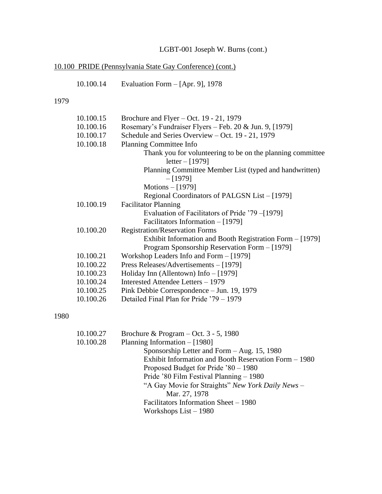# 10.100 PRIDE (Pennsylvania State Gay Conference) (cont.)

| 10.100.14 | Evaluation Form $-$ [Apr. 9], 1978 |  |  |  |  |
|-----------|------------------------------------|--|--|--|--|
|-----------|------------------------------------|--|--|--|--|

# 1979

| 10.100.15                            | Brochure and Flyer – Oct. $19 - 21$ , 1979                 |  |
|--------------------------------------|------------------------------------------------------------|--|
| 10.100.16                            | Rosemary's Fundraiser Flyers – Feb. 20 & Jun. 9, [1979]    |  |
| 10.100.17                            | Schedule and Series Overview - Oct. 19 - 21, 1979          |  |
| 10.100.18<br>Planning Committee Info |                                                            |  |
|                                      | Thank you for volunteering to be on the planning committee |  |
|                                      | $letter - [1979]$                                          |  |
|                                      | Planning Committee Member List (typed and handwritten)     |  |
|                                      | $-[1979]$                                                  |  |
|                                      | Motions $-[1979]$                                          |  |
|                                      | Regional Coordinators of PALGSN List – [1979]              |  |
| 10.100.19                            | <b>Facilitator Planning</b>                                |  |
|                                      | Evaluation of Facilitators of Pride '79 –[1979]            |  |
|                                      | Facilitators Information $-$ [1979]                        |  |
| 10.100.20                            | <b>Registration/Reservation Forms</b>                      |  |
|                                      | Exhibit Information and Booth Registration Form – [1979]   |  |
|                                      | Program Sponsorship Reservation Form – [1979]              |  |
| 10.100.21                            | Workshop Leaders Info and Form - [1979]                    |  |
| 10.100.22                            | Press Releases/Advertisements - [1979]                     |  |
| 10.100.23                            | Holiday Inn (Allentown) Info $-$ [1979]                    |  |
| 10.100.24                            | Interested Attendee Letters - 1979                         |  |
| 10.100.25                            | Pink Debbie Correspondence – Jun. 19, 1979                 |  |
| 10.100.26                            | Detailed Final Plan for Pride '79 – 1979                   |  |

# 1980

| 10.100.27 | Brochure & Program – Oct. $3 - 5$ , 1980              |
|-----------|-------------------------------------------------------|
| 10.100.28 | Planning Information – [1980]                         |
|           | Sponsorship Letter and Form $-$ Aug. 15, 1980         |
|           | Exhibit Information and Booth Reservation Form – 1980 |
|           | Proposed Budget for Pride '80 – 1980                  |
|           | Pride '80 Film Festival Planning – 1980               |
|           | "A Gay Movie for Straights" New York Daily News -     |
|           | Mar. 27, 1978                                         |
|           | Facilitators Information Sheet – 1980                 |
|           | Workshops $List - 1980$                               |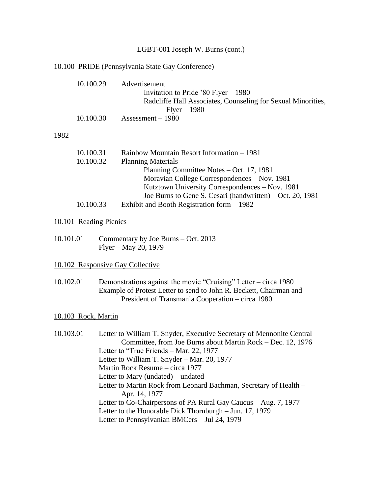# 10.100 PRIDE (Pennsylvania State Gay Conference)

|                        | 10.100.29<br>10.100.30 | Advertisement<br>Invitation to Pride '80 Flyer $-$ 1980<br>Radcliffe Hall Associates, Counseling for Sexual Minorities,<br>$Flyer - 1980$<br>Assessment $-1980$                                                                                                                                                                                                                                                                                                                                                                                                              |
|------------------------|------------------------|------------------------------------------------------------------------------------------------------------------------------------------------------------------------------------------------------------------------------------------------------------------------------------------------------------------------------------------------------------------------------------------------------------------------------------------------------------------------------------------------------------------------------------------------------------------------------|
|                        |                        |                                                                                                                                                                                                                                                                                                                                                                                                                                                                                                                                                                              |
| 1982                   |                        |                                                                                                                                                                                                                                                                                                                                                                                                                                                                                                                                                                              |
|                        | 10.100.31<br>10.100.32 | Rainbow Mountain Resort Information - 1981<br><b>Planning Materials</b><br>Planning Committee Notes – Oct. 17, 1981<br>Moravian College Correspondences – Nov. 1981<br>Kutztown University Correspondences - Nov. 1981<br>Joe Burns to Gene S. Cesari (handwritten) – Oct. 20, 1981                                                                                                                                                                                                                                                                                          |
|                        | 10.100.33              | Exhibit and Booth Registration form $-1982$                                                                                                                                                                                                                                                                                                                                                                                                                                                                                                                                  |
| 10.101 Reading Picnics |                        |                                                                                                                                                                                                                                                                                                                                                                                                                                                                                                                                                                              |
| 10.101.01              |                        | Commentary by Joe Burns - Oct. 2013<br>Flyer – May 20, 1979                                                                                                                                                                                                                                                                                                                                                                                                                                                                                                                  |
|                        |                        | 10.102 Responsive Gay Collective                                                                                                                                                                                                                                                                                                                                                                                                                                                                                                                                             |
| 10.102.01              |                        | Demonstrations against the movie "Cruising" Letter – circa 1980<br>Example of Protest Letter to send to John R. Beckett, Chairman and<br>President of Transmania Cooperation - circa 1980                                                                                                                                                                                                                                                                                                                                                                                    |
|                        | 10.103 Rock, Martin    |                                                                                                                                                                                                                                                                                                                                                                                                                                                                                                                                                                              |
| 10.103.01              |                        | Letter to William T. Snyder, Executive Secretary of Mennonite Central<br>Committee, from Joe Burns about Martin Rock - Dec. 12, 1976<br>Letter to "True Friends - Mar. 22, 1977<br>Letter to William T. Snyder – Mar. 20, 1977<br>Martin Rock Resume - circa 1977<br>Letter to Mary (undated) – undated<br>Letter to Martin Rock from Leonard Bachman, Secretary of Health -<br>Apr. 14, 1977<br>Letter to Co-Chairpersons of PA Rural Gay Caucus - Aug. 7, 1977<br>Letter to the Honorable Dick Thornburgh - Jun. 17, 1979<br>Letter to Pennsylvanian BMCers - Jul 24, 1979 |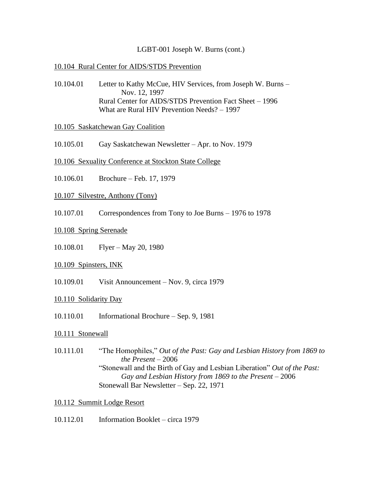## 10.104 Rural Center for AIDS/STDS Prevention

10.104.01 Letter to Kathy McCue, HIV Services, from Joseph W. Burns – Nov. 12, 1997 Rural Center for AIDS/STDS Prevention Fact Sheet – 1996 What are Rural HIV Prevention Needs? – 1997

## 10.105 Saskatchewan Gay Coalition

- 10.105.01 Gay Saskatchewan Newsletter Apr. to Nov. 1979
- 10.106 Sexuality Conference at Stockton State College
- 10.106.01 Brochure Feb. 17, 1979
- 10.107 Silvestre, Anthony (Tony)
- 10.107.01 Correspondences from Tony to Joe Burns 1976 to 1978

#### 10.108 Spring Serenade

10.108.01 Flyer – May 20, 1980

## 10.109 Spinsters, INK

10.109.01 Visit Announcement – Nov. 9, circa 1979

## 10.110 Solidarity Day

10.110.01 Informational Brochure – Sep. 9, 1981

## 10.111 Stonewall

10.111.01 "The Homophiles," *Out of the Past: Gay and Lesbian History from 1869 to the Present* – 2006 "Stonewall and the Birth of Gay and Lesbian Liberation" *Out of the Past: Gay and Lesbian History from 1869 to the Present* – 2006 Stonewall Bar Newsletter – Sep. 22, 1971

#### 10.112 Summit Lodge Resort

10.112.01 Information Booklet – circa 1979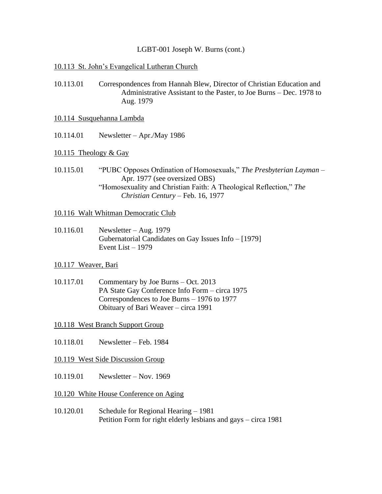### 10.113 St. John's Evangelical Lutheran Church

- 10.113.01 Correspondences from Hannah Blew, Director of Christian Education and Administrative Assistant to the Paster, to Joe Burns – Dec. 1978 to Aug. 1979
- 10.114 Susquehanna Lambda
- 10.114.01 Newsletter Apr./May 1986

#### 10.115 Theology & Gay

10.115.01 "PUBC Opposes Ordination of Homosexuals," *The Presbyterian Layman* – Apr. 1977 (see oversized OBS) "Homosexuality and Christian Faith: A Theological Reflection," *The Christian Century* – Feb. 16, 1977

#### 10.116 Walt Whitman Democratic Club

10.116.01 Newsletter – Aug. 1979 Gubernatorial Candidates on Gay Issues Info – [1979] Event List – 1979

## 10.117 Weaver, Bari

- 10.117.01 Commentary by Joe Burns Oct. 2013 PA State Gay Conference Info Form – circa 1975 Correspondences to Joe Burns – 1976 to 1977 Obituary of Bari Weaver – circa 1991
- 10.118 West Branch Support Group
- 10.118.01 Newsletter Feb. 1984
- 10.119 West Side Discussion Group
- 10.119.01 Newsletter Nov. 1969
- 10.120 White House Conference on Aging
- 10.120.01 Schedule for Regional Hearing 1981 Petition Form for right elderly lesbians and gays – circa 1981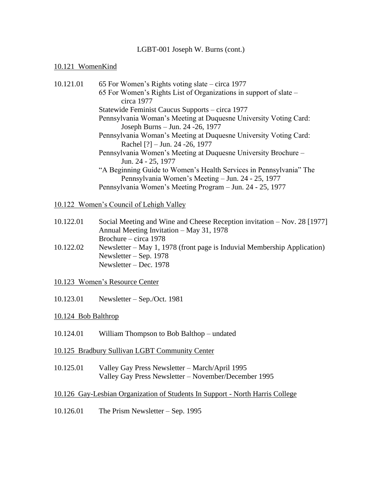## 10.121 WomenKind

| 10.121.01 | 65 For Women's Rights voting slate – circa 1977                    |
|-----------|--------------------------------------------------------------------|
|           | 65 For Women's Rights List of Organizations in support of slate –  |
|           | circa 1977                                                         |
|           | Statewide Feminist Caucus Supports – circa 1977                    |
|           | Pennsylvania Woman's Meeting at Duquesne University Voting Card:   |
|           | Joseph Burns – Jun. 24 - 26, 1977                                  |
|           | Pennsylvania Woman's Meeting at Duquesne University Voting Card:   |
|           | Rachel $[?]$ – Jun. 24 - 26, 1977                                  |
|           | Pennsylvania Women's Meeting at Duquesne University Brochure –     |
|           | Jun. 24 - 25, 1977                                                 |
|           | "A Beginning Guide to Women's Health Services in Pennsylvania" The |
|           | Pennsylvania Women's Meeting – Jun. 24 - 25, 1977                  |
|           | Pennsylvania Women's Meeting Program – Jun. 24 - 25, 1977          |
|           |                                                                    |

## 10.122 Women's Council of Lehigh Valley

| 10.122.01 | Social Meeting and Wine and Cheese Reception invitation – Nov. 28 [1977]                                                                                            |
|-----------|---------------------------------------------------------------------------------------------------------------------------------------------------------------------|
|           | Annual Meeting Invitation – May 31, 1978                                                                                                                            |
|           | Brochure – circa 1978                                                                                                                                               |
| 10.122.02 | $\mathbf{r}$ and the state of $\mathbf{r}$ and $\mathbf{r}$ and $\mathbf{r}$<br>$\mathbf{M} = \mathbf{1}$ as $\mathbf{M} = \mathbf{1}$ $\mathbf{1} \cap \mathbf{M}$ |

- 10.122.02 Newsletter May 1, 1978 (front page is Induvial Membership Application) Newsletter – Sep. 1978 Newsletter – Dec. 1978
- 10.123 Women's Resource Center
- 10.123.01 Newsletter Sep./Oct. 1981

## 10.124 Bob Balthrop

- 10.124.01 William Thompson to Bob Balthop undated
- 10.125 Bradbury Sullivan LGBT Community Center
- 10.125.01 Valley Gay Press Newsletter March/April 1995 Valley Gay Press Newsletter – November/December 1995

## 10.126 Gay-Lesbian Organization of Students In Support - North Harris College

10.126.01 The Prism Newsletter – Sep. 1995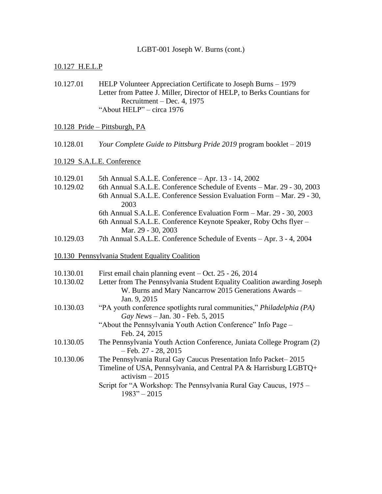## 10.127 H.E.L.P

10.127.01 HELP Volunteer Appreciation Certificate to Joseph Burns – 1979 Letter from Pattee J. Miller, Director of HELP, to Berks Countians for Recruitment – Dec. 4, 1975 "About HELP" – circa 1976

### 10.128 Pride – Pittsburgh, PA

10.128.01 *Your Complete Guide to Pittsburg Pride 2019* program booklet – 2019

## 10.129 S.A.L.E. Conference

| 10.129.01 | 5th Annual S.A.L.E. Conference - Apr. 13 - 14, 2002                           |
|-----------|-------------------------------------------------------------------------------|
| 10.129.02 | 6th Annual S.A.L.E. Conference Schedule of Events - Mar. 29 - 30, 2003        |
|           | 6th Annual S.A.L.E. Conference Session Evaluation Form - Mar. 29 - 30,        |
|           | 2003                                                                          |
|           | 6th Annual S.A.L.E. Conference Evaluation Form - Mar. 29 - 30, 2003           |
|           | 6th Annual S.A.L.E. Conference Keynote Speaker, Roby Ochs flyer –             |
|           | Mar. 29 - 30, 2003                                                            |
| 10.129.03 | 7th Annual S.A.L.E. Conference Schedule of Events – Apr. 3 - 4, 2004          |
|           | 10.130 Pennsylvania Student Equality Coalition                                |
|           |                                                                               |
| 10.130.01 | First email chain planning event $-$ Oct. 25 - 26, 2014                       |
| 10.130.02 | Letter from The Pennsylvania Student Equality Coalition awarding Joseph       |
|           | W. Burns and Mary Nancarrow 2015 Generations Awards -                         |
|           | Jan. 9, 2015                                                                  |
| 10.130.03 | "PA youth conference spotlights rural communities," Philadelphia (PA)         |
|           | Gay News - Jan. 30 - Feb. 5, 2015                                             |
|           | "About the Pennsylvania Youth Action Conference" Info Page -<br>Feb. 24, 2015 |
| 10.130.05 | The Pennsylvania Youth Action Conference, Juniata College Program (2)         |
|           | $-$ Feb. 27 - 28, 2015                                                        |
| 10.130.06 | The Pennsylvania Rural Gay Caucus Presentation Info Packet-2015               |
|           | Timeline of USA, Pennsylvania, and Central PA & Harrisburg LGBTQ+             |
|           | $activism - 2015$                                                             |
|           | Script for "A Workshop: The Pennsylvania Rural Gay Caucus, 1975 –             |
|           | $1983" - 2015$                                                                |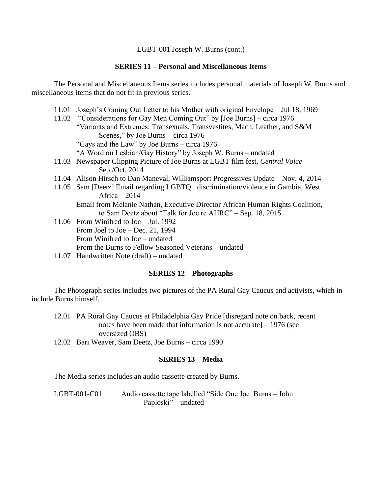### **SERIES 11 – Personal and Miscellaneous Items**

The Personal and Miscellaneous Items series includes personal materials of Joseph W. Burns and miscellaneous items that do not fit in previous series.

- 11.01 Joseph's Coming Out Letter to his Mother with original Envelope Jul 18, 1969
- 11.02 "Considerations for Gay Men Coming Out" by [Joe Burns] circa 1976 "Variants and Extremes: Transexuals, Transvestites, Mach, Leather, and S&M Scenes," by Joe Burns – circa 1976 "Gays and the Law" by Joe Burns – circa 1976
	- "A Word on Lesbian/Gay History" by Joseph W. Burns undated
- 11.03 Newspaper Clipping Picture of Joe Burns at LGBT film fest, *Central Voice*  Sep./Oct. 2014
- 11.04 Alison Hirsch to Dan Maneval, Williamsport Progressives Update Nov. 4, 2014
- 11.05 Sam [Deetz] Email regarding LGBTQ+ discrimination/violence in Gambia, West Africa – 2014
	- Email from Melanie Nathan, Executive Director African Human Rights Coalition, to Sam Deetz about "Talk for Joe re AHRC" – Sep. 18, 2015
- 11.06 From Winifred to Joe Jul. 1992 From Joel to Joe – Dec. 21, 1994 From Winifred to Joe – undated From the Burns to Fellow Seasoned Veterans – undated
- 11.07 Handwritten Note (draft) undated

#### **SERIES 12 – Photographs**

The Photograph series includes two pictures of the PA Rural Gay Caucus and activists, which in include Burns himself.

- 12.01 PA Rural Gay Caucus at Philadelphia Gay Pride [disregard note on back, recent notes have been made that information is not accurate] – 1976 (see oversized OBS)
- 12.02 Bari Weaver, Sam Deetz, Joe Burns circa 1990

## **SERIES 13 – Media**

The Media series includes an audio cassette created by Burns.

LGBT-001-C01 Audio cassette tape labelled "Side One Joe Burns – John Paploski" – undated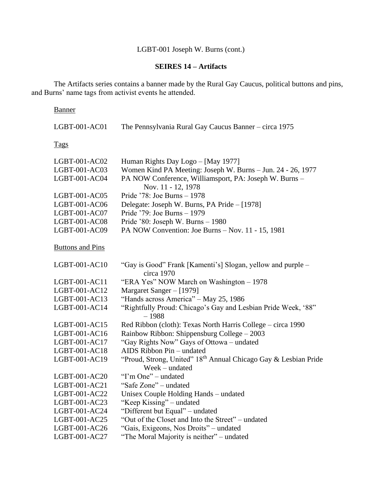# **SEIRES 14 – Artifacts**

The Artifacts series contains a banner made by the Rural Gay Caucus, political buttons and pins, and Burns' name tags from activist events he attended.

## Banner

| LGBT-001-AC01           | The Pennsylvania Rural Gay Caucus Banner - circa 1975                        |
|-------------------------|------------------------------------------------------------------------------|
| <b>Tags</b>             |                                                                              |
| LGBT-001-AC02           | Human Rights Day Logo - [May 1977]                                           |
| LGBT-001-AC03           | Women Kind PA Meeting: Joseph W. Burns - Jun. 24 - 26, 1977                  |
| LGBT-001-AC04           | PA NOW Conference, Williamsport, PA: Joseph W. Burns -<br>Nov. 11 - 12, 1978 |
| LGBT-001-AC05           | Pride '78: Joe Burns - 1978                                                  |
| LGBT-001-AC06           | Delegate: Joseph W. Burns, PA Pride - [1978]                                 |
| LGBT-001-AC07           | Pride '79: Joe Burns - 1979                                                  |
| LGBT-001-AC08           | Pride '80: Joseph W. Burns - 1980                                            |
| LGBT-001-AC09           | PA NOW Convention: Joe Burns - Nov. 11 - 15, 1981                            |
| <b>Buttons and Pins</b> |                                                                              |
| $LGBT-001-AC10$         | "Gay is Good" Frank [Kamenti's] Slogan, yellow and purple -<br>circa 1970    |
| LGBT-001-AC11           | "ERA Yes" NOW March on Washington - 1978                                     |
| LGBT-001-AC12           | Margaret Sanger – [1979]                                                     |
| LGBT-001-AC13           | "Hands across America" - May 25, 1986                                        |
| LGBT-001-AC14           | "Rightfully Proud: Chicago's Gay and Lesbian Pride Week, '88"                |
|                         | $-1988$                                                                      |
| LGBT-001-AC15           | Red Ribbon (cloth): Texas North Harris College – circa 1990                  |
| LGBT-001-AC16           | Rainbow Ribbon: Shippensburg College - 2003                                  |
| LGBT-001-AC17           | "Gay Rights Now" Gays of Ottowa – undated                                    |
| LGBT-001-AC18           | AIDS Ribbon Pin - undated                                                    |
| LGBT-001-AC19           | "Proud, Strong, United" 18th Annual Chicago Gay & Lesbian Pride              |
|                         | Week - undated                                                               |
| LGBT-001-AC20           | "I'm One" – undated                                                          |
| LGBT-001-AC21           | "Safe Zone" – undated                                                        |
| LGBT-001-AC22           | Unisex Couple Holding Hands - undated                                        |
| LGBT-001-AC23           | "Keep Kissing" – undated                                                     |
| LGBT-001-AC24           | "Different but Equal" - undated                                              |
| LGBT-001-AC25           | "Out of the Closet and Into the Street" - undated                            |
| LGBT-001-AC26           | "Gais, Exigeons, Nos Droits" - undated                                       |
| LGBT-001-AC27           | "The Moral Majority is neither" - undated                                    |